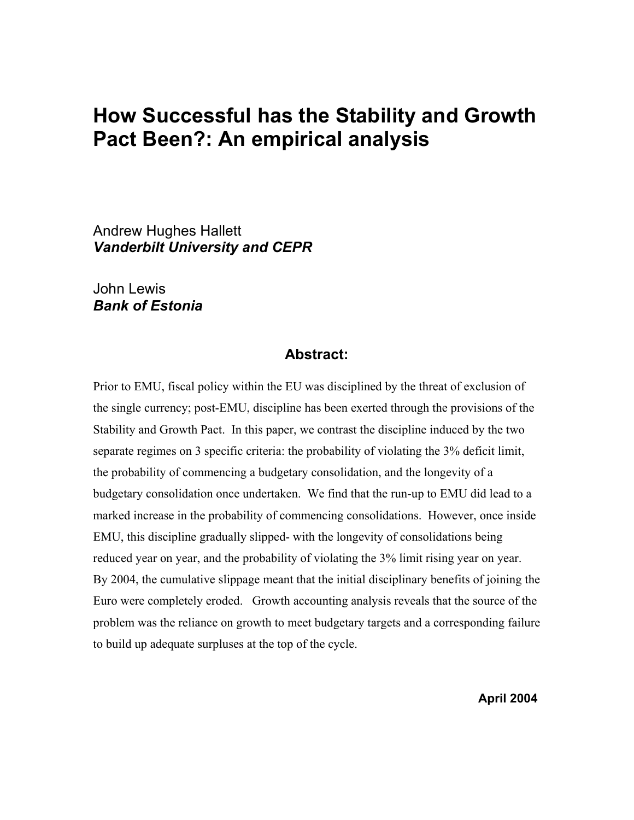# **How Successful has the Stability and Growth Pact Been?: An empirical analysis**

Andrew Hughes Hallett *Vanderbilt University and CEPR* 

John Lewis *Bank of Estonia*

### **Abstract:**

Prior to EMU, fiscal policy within the EU was disciplined by the threat of exclusion of the single currency; post-EMU, discipline has been exerted through the provisions of the Stability and Growth Pact. In this paper, we contrast the discipline induced by the two separate regimes on 3 specific criteria: the probability of violating the 3% deficit limit, the probability of commencing a budgetary consolidation, and the longevity of a budgetary consolidation once undertaken. We find that the run-up to EMU did lead to a marked increase in the probability of commencing consolidations. However, once inside EMU, this discipline gradually slipped- with the longevity of consolidations being reduced year on year, and the probability of violating the 3% limit rising year on year. By 2004, the cumulative slippage meant that the initial disciplinary benefits of joining the Euro were completely eroded. Growth accounting analysis reveals that the source of the problem was the reliance on growth to meet budgetary targets and a corresponding failure to build up adequate surpluses at the top of the cycle.

**April 2004**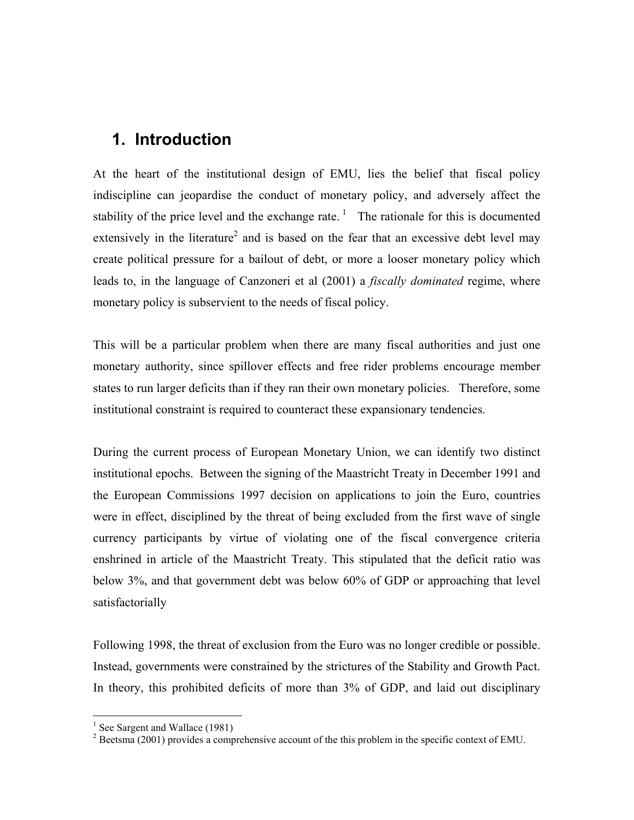## **1. Introduction**

At the heart of the institutional design of EMU, lies the belief that fiscal policy indiscipline can jeopardise the conduct of monetary policy, and adversely affect the stability of the price level and the exchange rate.<sup>1</sup> The rationale for this is documented extensively in the literature<sup>[2](#page-1-1)</sup> and is based on the fear that an excessive debt level may create political pressure for a bailout of debt, or more a looser monetary policy which leads to, in the language of Canzoneri et al (2001) a *fiscally dominated* regime, where monetary policy is subservient to the needs of fiscal policy.

This will be a particular problem when there are many fiscal authorities and just one monetary authority, since spillover effects and free rider problems encourage member states to run larger deficits than if they ran their own monetary policies. Therefore, some institutional constraint is required to counteract these expansionary tendencies.

During the current process of European Monetary Union, we can identify two distinct institutional epochs. Between the signing of the Maastricht Treaty in December 1991 and the European Commissions 1997 decision on applications to join the Euro, countries were in effect, disciplined by the threat of being excluded from the first wave of single currency participants by virtue of violating one of the fiscal convergence criteria enshrined in article of the Maastricht Treaty. This stipulated that the deficit ratio was below 3%, and that government debt was below 60% of GDP or approaching that level satisfactorially

Following 1998, the threat of exclusion from the Euro was no longer credible or possible. Instead, governments were constrained by the strictures of the Stability and Growth Pact. In theory, this prohibited deficits of more than 3% of GDP, and laid out disciplinary

1

<span id="page-1-0"></span><sup>&</sup>lt;sup>1</sup> See Sargent and Wallace (1981)

<span id="page-1-1"></span> $2^2$  Beetsma (2001) provides a comprehensive account of the this problem in the specific context of EMU.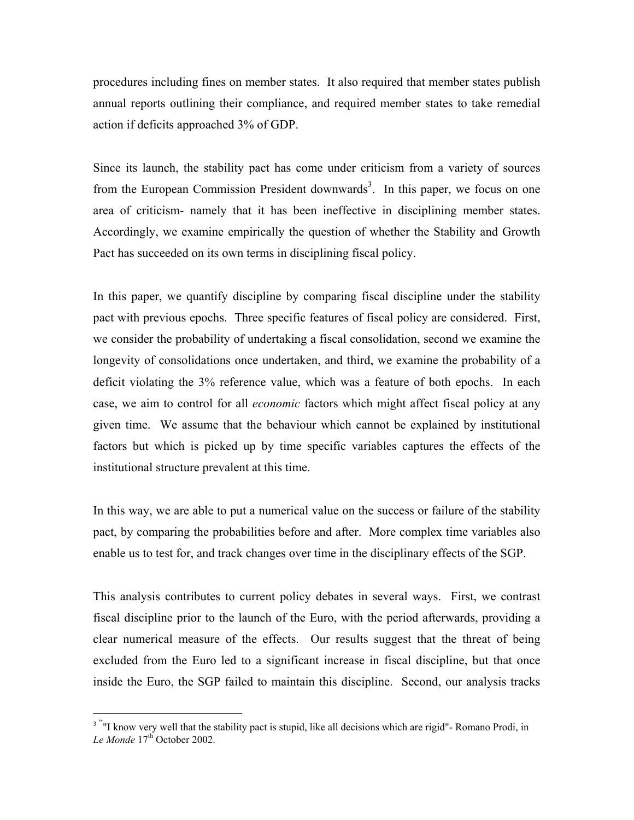procedures including fines on member states. It also required that member states publish annual reports outlining their compliance, and required member states to take remedial action if deficits approached 3% of GDP.

Since its launch, the stability pact has come under criticism from a variety of sources from the European Commission President downwards<sup>[3](#page-2-0)</sup>. In this paper, we focus on one area of criticism- namely that it has been ineffective in disciplining member states. Accordingly, we examine empirically the question of whether the Stability and Growth Pact has succeeded on its own terms in disciplining fiscal policy.

In this paper, we quantify discipline by comparing fiscal discipline under the stability pact with previous epochs. Three specific features of fiscal policy are considered. First, we consider the probability of undertaking a fiscal consolidation, second we examine the longevity of consolidations once undertaken, and third, we examine the probability of a deficit violating the 3% reference value, which was a feature of both epochs. In each case, we aim to control for all *economic* factors which might affect fiscal policy at any given time. We assume that the behaviour which cannot be explained by institutional factors but which is picked up by time specific variables captures the effects of the institutional structure prevalent at this time.

In this way, we are able to put a numerical value on the success or failure of the stability pact, by comparing the probabilities before and after. More complex time variables also enable us to test for, and track changes over time in the disciplinary effects of the SGP.

This analysis contributes to current policy debates in several ways. First, we contrast fiscal discipline prior to the launch of the Euro, with the period afterwards, providing a clear numerical measure of the effects. Our results suggest that the threat of being excluded from the Euro led to a significant increase in fiscal discipline, but that once inside the Euro, the SGP failed to maintain this discipline. Second, our analysis tracks

1

<span id="page-2-0"></span><sup>&</sup>lt;sup>3 "</sup>"I know very well that the stability pact is stupid, like all decisions which are rigid"- Romano Prodi, in Le Monde 17<sup>th</sup> October 2002.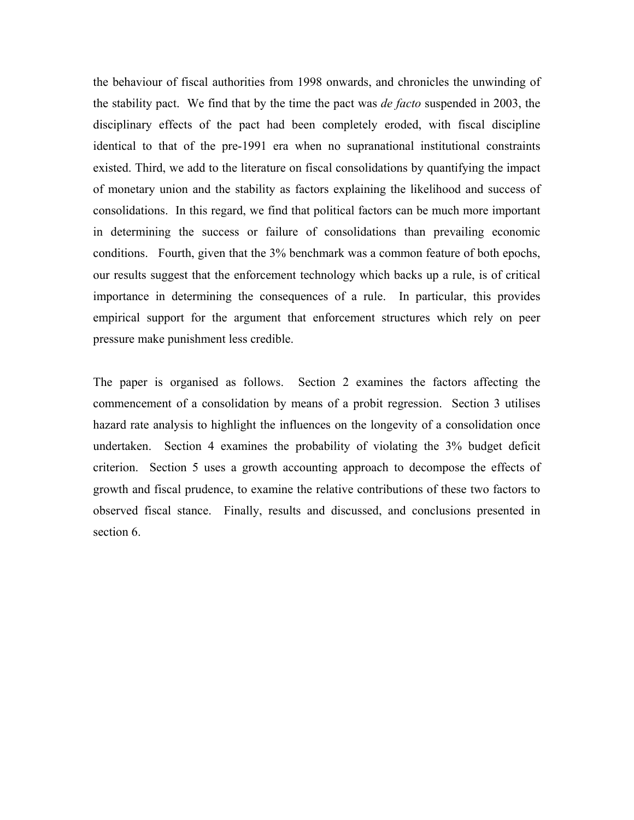the behaviour of fiscal authorities from 1998 onwards, and chronicles the unwinding of the stability pact. We find that by the time the pact was *de facto* suspended in 2003, the disciplinary effects of the pact had been completely eroded, with fiscal discipline identical to that of the pre-1991 era when no supranational institutional constraints existed. Third, we add to the literature on fiscal consolidations by quantifying the impact of monetary union and the stability as factors explaining the likelihood and success of consolidations. In this regard, we find that political factors can be much more important in determining the success or failure of consolidations than prevailing economic conditions. Fourth, given that the 3% benchmark was a common feature of both epochs, our results suggest that the enforcement technology which backs up a rule, is of critical importance in determining the consequences of a rule. In particular, this provides empirical support for the argument that enforcement structures which rely on peer pressure make punishment less credible.

The paper is organised as follows. Section 2 examines the factors affecting the commencement of a consolidation by means of a probit regression. Section 3 utilises hazard rate analysis to highlight the influences on the longevity of a consolidation once undertaken. Section 4 examines the probability of violating the 3% budget deficit criterion. Section 5 uses a growth accounting approach to decompose the effects of growth and fiscal prudence, to examine the relative contributions of these two factors to observed fiscal stance. Finally, results and discussed, and conclusions presented in section 6.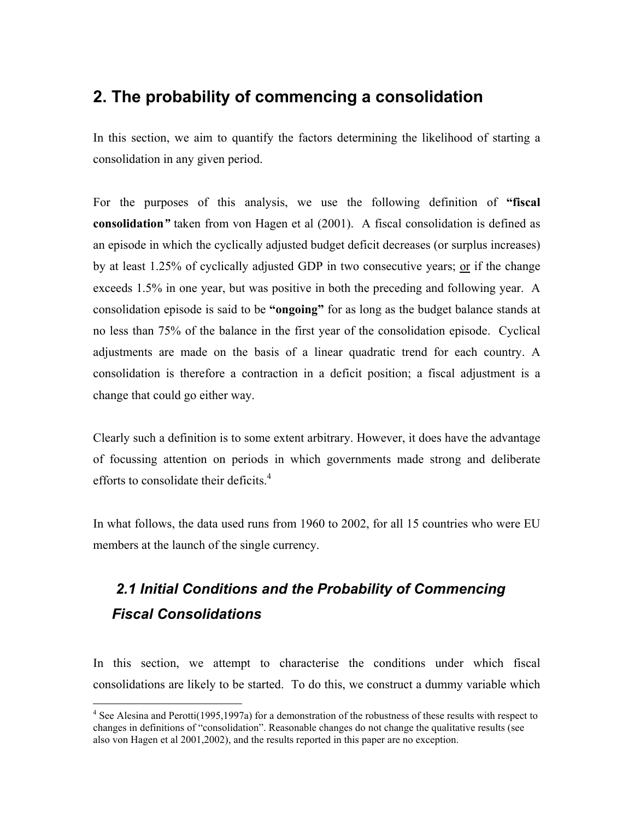## **2. The probability of commencing a consolidation**

In this section, we aim to quantify the factors determining the likelihood of starting a consolidation in any given period.

For the purposes of this analysis, we use the following definition of **"fiscal consolidation***"* taken from von Hagen et al (2001). A fiscal consolidation is defined as an episode in which the cyclically adjusted budget deficit decreases (or surplus increases) by at least 1.25% of cyclically adjusted GDP in two consecutive years; or if the change exceeds 1.5% in one year, but was positive in both the preceding and following year. A consolidation episode is said to be **"ongoing"** for as long as the budget balance stands at no less than 75% of the balance in the first year of the consolidation episode. Cyclical adjustments are made on the basis of a linear quadratic trend for each country. A consolidation is therefore a contraction in a deficit position; a fiscal adjustment is a change that could go either way.

Clearly such a definition is to some extent arbitrary. However, it does have the advantage of focussing attention on periods in which governments made strong and deliberate efforts to consolidate their deficits. $4$ 

In what follows, the data used runs from 1960 to 2002, for all 15 countries who were EU members at the launch of the single currency.

# *2.1 Initial Conditions and the Probability of Commencing Fiscal Consolidations*

In this section, we attempt to characterise the conditions under which fiscal consolidations are likely to be started. To do this, we construct a dummy variable which

 $\overline{a}$ 

<span id="page-4-0"></span><sup>&</sup>lt;sup>4</sup> See Alesina and Perotti(1995,1997a) for a demonstration of the robustness of these results with respect to changes in definitions of "consolidation". Reasonable changes do not change the qualitative results (see also von Hagen et al 2001,2002), and the results reported in this paper are no exception.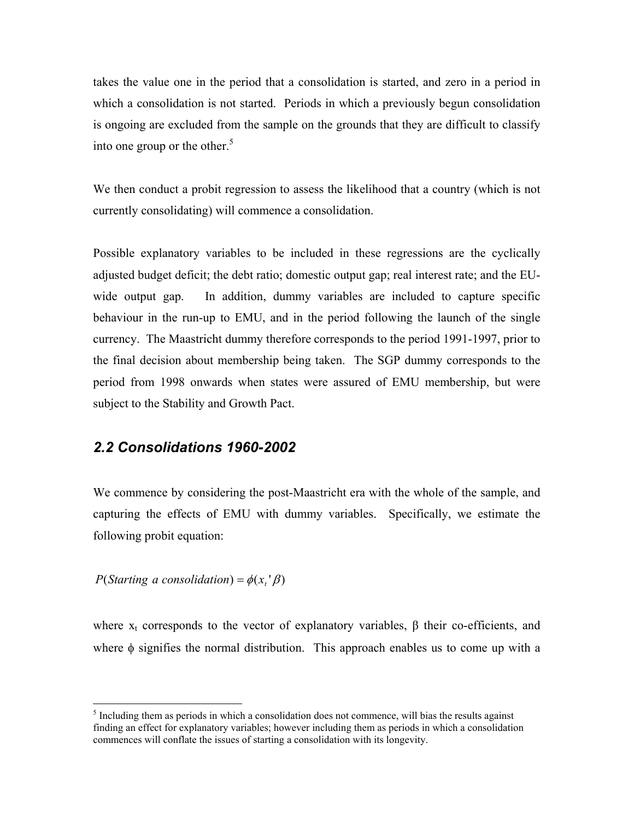takes the value one in the period that a consolidation is started, and zero in a period in which a consolidation is not started. Periods in which a previously begun consolidation is ongoing are excluded from the sample on the grounds that they are difficult to classify into one group or the other. $5$ 

We then conduct a probit regression to assess the likelihood that a country (which is not currently consolidating) will commence a consolidation.

Possible explanatory variables to be included in these regressions are the cyclically adjusted budget deficit; the debt ratio; domestic output gap; real interest rate; and the EUwide output gap. In addition, dummy variables are included to capture specific behaviour in the run-up to EMU, and in the period following the launch of the single currency. The Maastricht dummy therefore corresponds to the period 1991-1997, prior to the final decision about membership being taken. The SGP dummy corresponds to the period from 1998 onwards when states were assured of EMU membership, but were subject to the Stability and Growth Pact.

### *2.2 Consolidations 1960-2002*

We commence by considering the post-Maastricht era with the whole of the sample, and capturing the effects of EMU with dummy variables. Specifically, we estimate the following probit equation:

 $P(Starting a consolidation) = \phi(x, 'B)$ 

where  $x_t$  corresponds to the vector of explanatory variables,  $\beta$  their co-efficients, and where  $\phi$  signifies the normal distribution. This approach enables us to come up with a

<span id="page-5-0"></span> <sup>5</sup>  $<sup>5</sup>$  Including them as periods in which a consolidation does not commence, will bias the results against</sup> finding an effect for explanatory variables; however including them as periods in which a consolidation commences will conflate the issues of starting a consolidation with its longevity.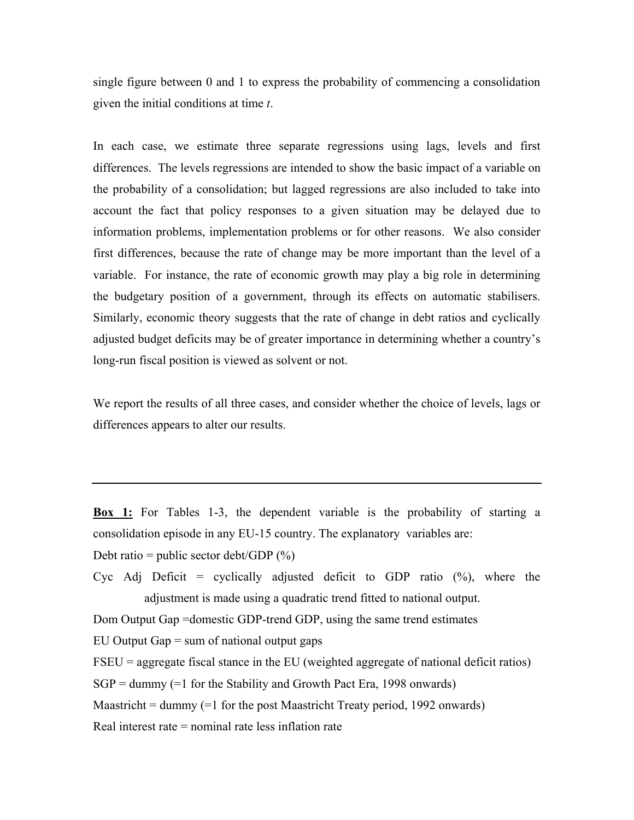single figure between 0 and 1 to express the probability of commencing a consolidation given the initial conditions at time *t*.

In each case, we estimate three separate regressions using lags, levels and first differences. The levels regressions are intended to show the basic impact of a variable on the probability of a consolidation; but lagged regressions are also included to take into account the fact that policy responses to a given situation may be delayed due to information problems, implementation problems or for other reasons. We also consider first differences, because the rate of change may be more important than the level of a variable. For instance, the rate of economic growth may play a big role in determining the budgetary position of a government, through its effects on automatic stabilisers. Similarly, economic theory suggests that the rate of change in debt ratios and cyclically adjusted budget deficits may be of greater importance in determining whether a country's long-run fiscal position is viewed as solvent or not.

We report the results of all three cases, and consider whether the choice of levels, lags or differences appears to alter our results.

**Box 1:** For Tables 1-3, the dependent variable is the probability of starting a consolidation episode in any EU-15 country. The explanatory variables are: Debt ratio = public sector debt/GDP  $(\%)$ 

Cyc Adj Deficit = cyclically adjusted deficit to GDP ratio  $(\%)$ , where the adjustment is made using a quadratic trend fitted to national output.

Dom Output Gap =domestic GDP-trend GDP, using the same trend estimates

EU Output Gap  $=$  sum of national output gaps

FSEU = aggregate fiscal stance in the EU (weighted aggregate of national deficit ratios)

 $SGP =$  dummy (=1 for the Stability and Growth Pact Era, 1998 onwards)

Maastricht = dummy  $(=1$  for the post Maastricht Treaty period, 1992 onwards)

Real interest rate = nominal rate less inflation rate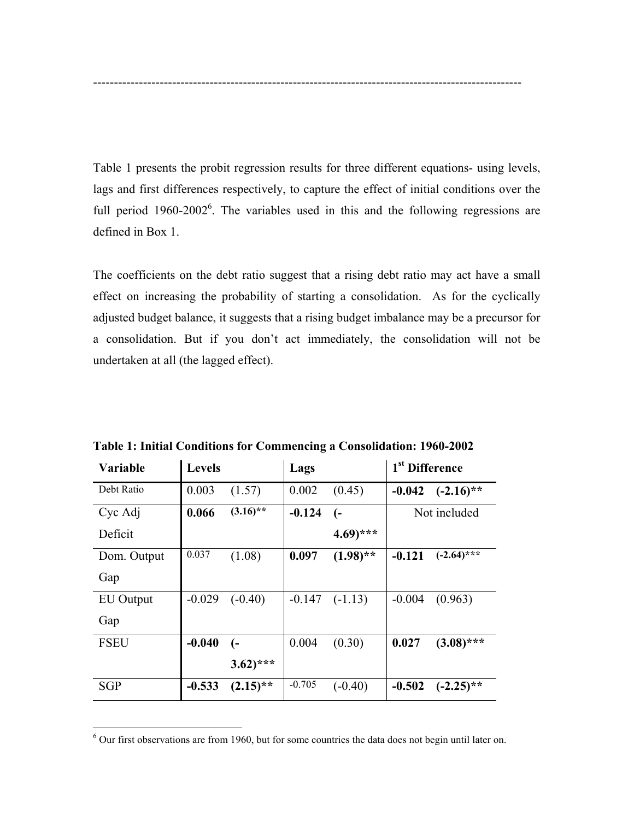Table 1 presents the probit regression results for three different equations- using levels, lags and first differences respectively, to capture the effect of initial conditions over the full period  $1960-2002^6$ [.](#page-7-0) The variables used in this and the following regressions are defined in Box 1.

-------------------------------------------------------------------------------------------------------

The coefficients on the debt ratio suggest that a rising debt ratio may act have a small effect on increasing the probability of starting a consolidation. As for the cyclically adjusted budget balance, it suggests that a rising budget imbalance may be a precursor for a consolidation. But if you don't act immediately, the consolidation will not be undertaken at all (the lagged effect).

| Variable    | <b>Levels</b> |                       | Lags     |                       | 1 <sup>st</sup> Difference |               |
|-------------|---------------|-----------------------|----------|-----------------------|----------------------------|---------------|
| Debt Ratio  | 0.003         | (1.57)                | 0.002    | (0.45)                | $-0.042$                   | $(-2.16)$ **  |
| Cyc Adj     | 0.066         | $(3.16)$ **           | $-0.124$ | (-                    |                            | Not included  |
| Deficit     |               |                       |          | $4.69$ <sup>***</sup> |                            |               |
| Dom. Output | 0.037         | (1.08)                | 0.097    | $(1.98)$ **           | $-0.121$                   | $(-2.64)$ *** |
| Gap         |               |                       |          |                       |                            |               |
| EU Output   | $-0.029$      | $(-0.40)$             | $-0.147$ | $(-1.13)$             | $-0.004$                   | (0.963)       |
| Gap         |               |                       |          |                       |                            |               |
| <b>FSEU</b> | $-0.040$      | $(-$                  | 0.004    | (0.30)                | 0.027                      | $(3.08)$ ***  |
|             |               | $3.62$ <sup>***</sup> |          |                       |                            |               |
| <b>SGP</b>  | $-0.533$      | $(2.15)$ **           | $-0.705$ | $(-0.40)$             | $-0.502$                   | $(-2.25)$ **  |

**Table 1: Initial Conditions for Commencing a Consolidation: 1960-2002** 

 $\overline{a}$ 

<span id="page-7-0"></span><sup>&</sup>lt;sup>6</sup> Our first observations are from 1960, but for some countries the data does not begin until later on.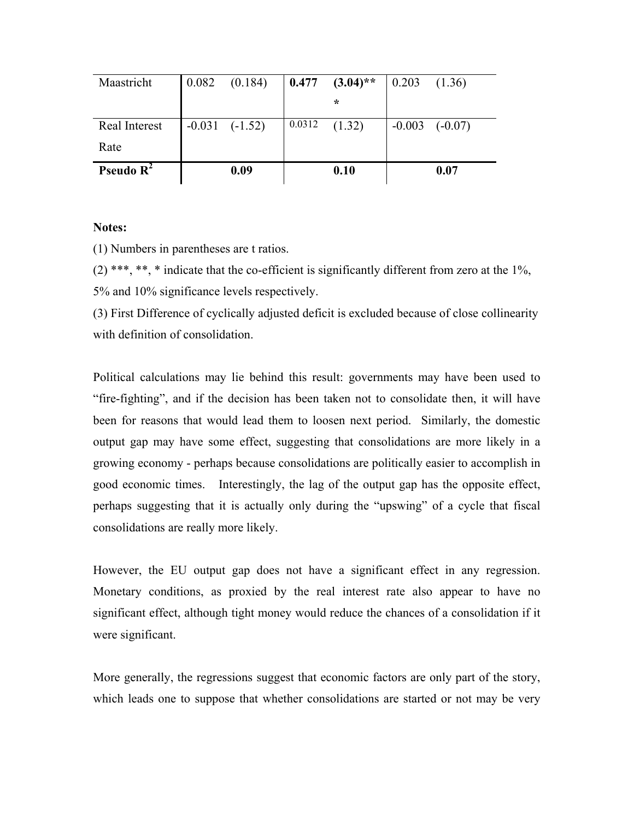| Maastricht    | 0.082 | (0.184)            |        | $0.477$ $(3.04)$ ** | 0.203 | (1.36)             |
|---------------|-------|--------------------|--------|---------------------|-------|--------------------|
|               |       |                    |        | $\star$             |       |                    |
| Real Interest |       | $-0.031$ $(-1.52)$ | 0.0312 | (1.32)              |       | $-0.003$ $(-0.07)$ |
| Rate          |       |                    |        |                     |       |                    |
| Pseudo $R^2$  |       | 0.09               |        | 0.10                |       | 0.07               |

#### **Notes:**

(1) Numbers in parentheses are t ratios.

 $(2)$  \*\*\*, \*\*, \* indicate that the co-efficient is significantly different from zero at the 1%, 5% and 10% significance levels respectively.

(3) First Difference of cyclically adjusted deficit is excluded because of close collinearity with definition of consolidation.

Political calculations may lie behind this result: governments may have been used to "fire-fighting", and if the decision has been taken not to consolidate then, it will have been for reasons that would lead them to loosen next period. Similarly, the domestic output gap may have some effect, suggesting that consolidations are more likely in a growing economy - perhaps because consolidations are politically easier to accomplish in good economic times. Interestingly, the lag of the output gap has the opposite effect, perhaps suggesting that it is actually only during the "upswing" of a cycle that fiscal consolidations are really more likely.

However, the EU output gap does not have a significant effect in any regression. Monetary conditions, as proxied by the real interest rate also appear to have no significant effect, although tight money would reduce the chances of a consolidation if it were significant.

More generally, the regressions suggest that economic factors are only part of the story, which leads one to suppose that whether consolidations are started or not may be very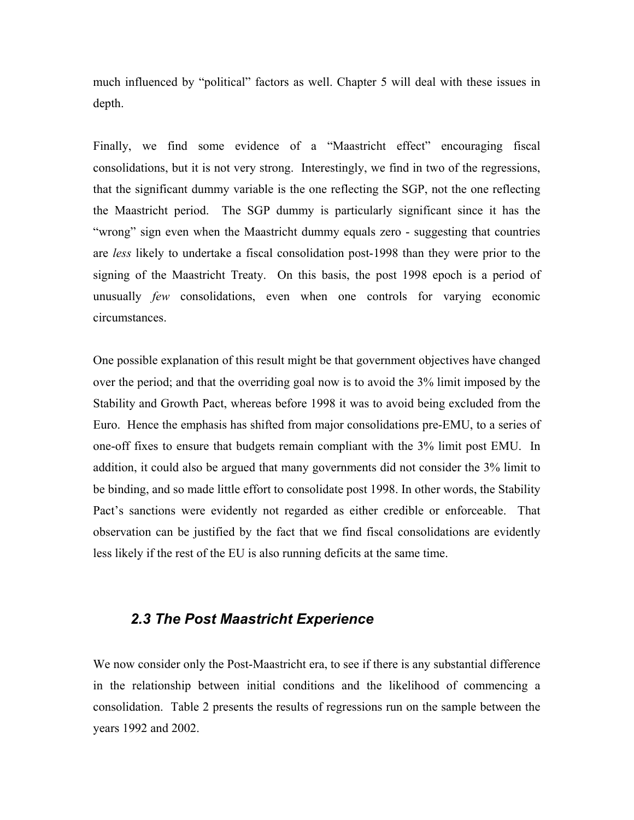much influenced by "political" factors as well. Chapter 5 will deal with these issues in depth.

Finally, we find some evidence of a "Maastricht effect" encouraging fiscal consolidations, but it is not very strong. Interestingly, we find in two of the regressions, that the significant dummy variable is the one reflecting the SGP, not the one reflecting the Maastricht period. The SGP dummy is particularly significant since it has the "wrong" sign even when the Maastricht dummy equals zero - suggesting that countries are *less* likely to undertake a fiscal consolidation post-1998 than they were prior to the signing of the Maastricht Treaty. On this basis, the post 1998 epoch is a period of unusually *few* consolidations, even when one controls for varying economic circumstances.

One possible explanation of this result might be that government objectives have changed over the period; and that the overriding goal now is to avoid the 3% limit imposed by the Stability and Growth Pact, whereas before 1998 it was to avoid being excluded from the Euro. Hence the emphasis has shifted from major consolidations pre-EMU, to a series of one-off fixes to ensure that budgets remain compliant with the 3% limit post EMU. In addition, it could also be argued that many governments did not consider the 3% limit to be binding, and so made little effort to consolidate post 1998. In other words, the Stability Pact's sanctions were evidently not regarded as either credible or enforceable. That observation can be justified by the fact that we find fiscal consolidations are evidently less likely if the rest of the EU is also running deficits at the same time.

## *2.3 The Post Maastricht Experience*

We now consider only the Post-Maastricht era, to see if there is any substantial difference in the relationship between initial conditions and the likelihood of commencing a consolidation. Table 2 presents the results of regressions run on the sample between the years 1992 and 2002.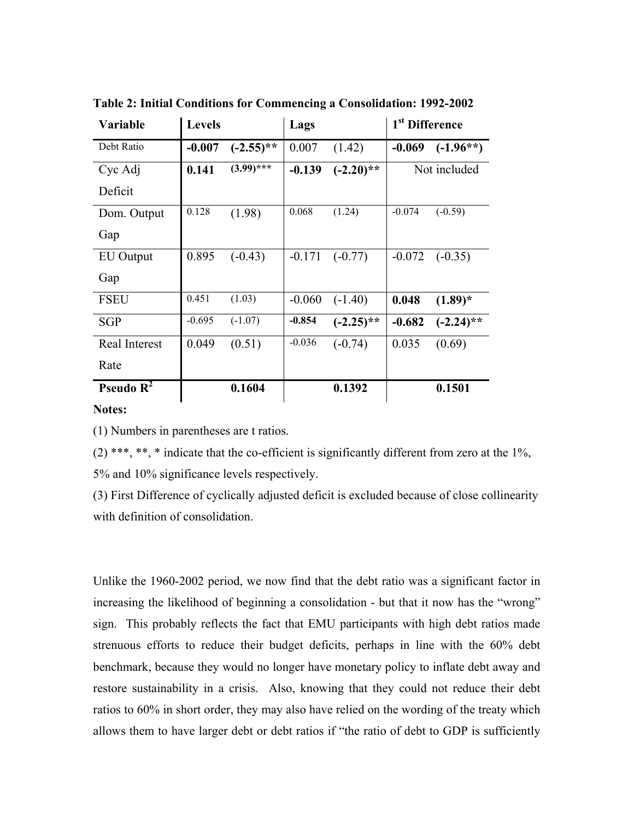| <b>Variable</b>     | <b>Levels</b> |              | Lags     |              | 1 <sup>st</sup> Difference |              |
|---------------------|---------------|--------------|----------|--------------|----------------------------|--------------|
| Debt Ratio          | $-0.007$      | $(-2.55)$ ** | 0.007    | (1.42)       | $-0.069$                   | $(-1.96**)$  |
| Cyc Adj             | 0.141         | $(3.99)$ *** | $-0.139$ | $(-2.20)$ ** |                            | Not included |
| Deficit             |               |              |          |              |                            |              |
| Dom. Output         | 0.128         | (1.98)       | 0.068    | (1.24)       | $-0.074$                   | $(-0.59)$    |
| Gap                 |               |              |          |              |                            |              |
| EU Output           | 0.895         | $(-0.43)$    | $-0.171$ | $(-0.77)$    | $-0.072$                   | $(-0.35)$    |
| Gap                 |               |              |          |              |                            |              |
| <b>FSEU</b>         | 0.451         | (1.03)       | $-0.060$ | $(-1.40)$    | 0.048                      | $(1.89)^*$   |
| <b>SGP</b>          | $-0.695$      | $(-1.07)$    | $-0.854$ | $(-2.25)$ ** | $-0.682$                   | $(-2.24)$ ** |
| Real Interest       | 0.049         | (0.51)       | $-0.036$ | $(-0.74)$    | 0.035                      | (0.69)       |
| Rate                |               |              |          |              |                            |              |
| <b>Pseudo</b> $R^2$ |               | 0.1604       |          | 0.1392       |                            | 0.1501       |

**Table 2: Initial Conditions for Commencing a Consolidation: 1992-2002** 

#### **Notes:**

(1) Numbers in parentheses are t ratios.

(2) \*\*\*, \*\*, \* indicate that the co-efficient is significantly different from zero at the  $1\%$ , 5% and 10% significance levels respectively.

(3) First Difference of cyclically adjusted deficit is excluded because of close collinearity with definition of consolidation.

Unlike the 1960-2002 period, we now find that the debt ratio was a significant factor in increasing the likelihood of beginning a consolidation - but that it now has the "wrong" sign. This probably reflects the fact that EMU participants with high debt ratios made strenuous efforts to reduce their budget deficits, perhaps in line with the 60% debt benchmark, because they would no longer have monetary policy to inflate debt away and restore sustainability in a crisis. Also, knowing that they could not reduce their debt ratios to 60% in short order, they may also have relied on the wording of the treaty which allows them to have larger debt or debt ratios if "the ratio of debt to GDP is sufficiently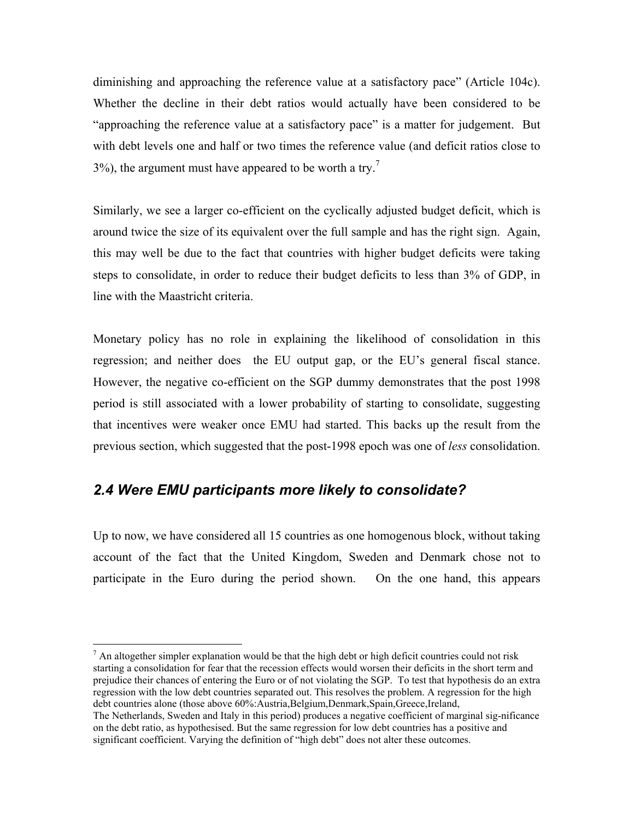diminishing and approaching the reference value at a satisfactory pace" (Article 104c). Whether the decline in their debt ratios would actually have been considered to be "approaching the reference value at a satisfactory pace" is a matter for judgement. But with debt levels one and half or two times the reference value (and deficit ratios close to  $3\%$ ), the argument must have appeared to be worth a try.<sup>[7](#page-11-0)</sup>

Similarly, we see a larger co-efficient on the cyclically adjusted budget deficit, which is around twice the size of its equivalent over the full sample and has the right sign. Again, this may well be due to the fact that countries with higher budget deficits were taking steps to consolidate, in order to reduce their budget deficits to less than 3% of GDP, in line with the Maastricht criteria.

Monetary policy has no role in explaining the likelihood of consolidation in this regression; and neither does the EU output gap, or the EU's general fiscal stance. However, the negative co-efficient on the SGP dummy demonstrates that the post 1998 period is still associated with a lower probability of starting to consolidate, suggesting that incentives were weaker once EMU had started. This backs up the result from the previous section, which suggested that the post-1998 epoch was one of *less* consolidation.

## *2.4 Were EMU participants more likely to consolidate?*

 $\overline{a}$ 

Up to now, we have considered all 15 countries as one homogenous block, without taking account of the fact that the United Kingdom, Sweden and Denmark chose not to participate in the Euro during the period shown. On the one hand, this appears

<span id="page-11-0"></span> $<sup>7</sup>$  An altogether simpler explanation would be that the high debt or high deficit countries could not risk</sup> starting a consolidation for fear that the recession effects would worsen their deficits in the short term and prejudice their chances of entering the Euro or of not violating the SGP. To test that hypothesis do an extra regression with the low debt countries separated out. This resolves the problem. A regression for the high debt countries alone (those above 60%:Austria,Belgium,Denmark,Spain,Greece,Ireland, The Netherlands, Sweden and Italy in this period) produces a negative coefficient of marginal sig-nificance on the debt ratio, as hypothesised. But the same regression for low debt countries has a positive and

significant coefficient. Varying the definition of "high debt" does not alter these outcomes.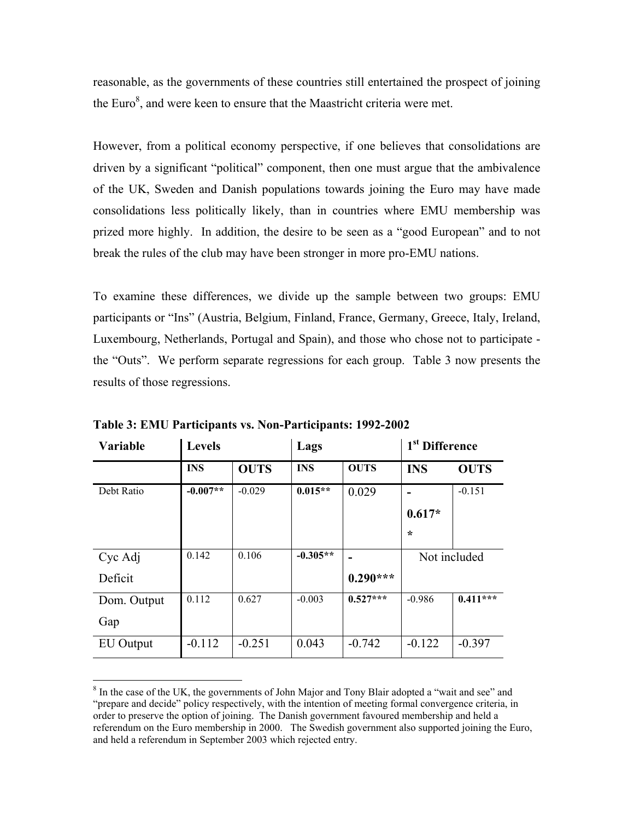reasonable, as the governments of these countries still entertained the prospect of joining the Euro $\delta$ , and were keen to ensure that the Maastricht criteria were met.

However, from a political economy perspective, if one believes that consolidations are driven by a significant "political" component, then one must argue that the ambivalence of the UK, Sweden and Danish populations towards joining the Euro may have made consolidations less politically likely, than in countries where EMU membership was prized more highly. In addition, the desire to be seen as a "good European" and to not break the rules of the club may have been stronger in more pro-EMU nations.

To examine these differences, we divide up the sample between two groups: EMU participants or "Ins" (Austria, Belgium, Finland, France, Germany, Greece, Italy, Ireland, Luxembourg, Netherlands, Portugal and Spain), and those who chose not to participate the "Outs". We perform separate regressions for each group. Table 3 now presents the results of those regressions.

| <b>Variable</b> | <b>Levels</b> |             | Lags       |             | 1 <sup>st</sup> Difference |             |
|-----------------|---------------|-------------|------------|-------------|----------------------------|-------------|
|                 | <b>INS</b>    | <b>OUTS</b> | <b>INS</b> | <b>OUTS</b> | <b>INS</b>                 | <b>OUTS</b> |
| Debt Ratio      | $-0.007**$    | $-0.029$    | $0.015**$  | 0.029       |                            | $-0.151$    |
|                 |               |             |            |             | $0.617*$                   |             |
|                 |               |             |            |             | $\star$                    |             |
| Cyc Adj         | 0.142         | 0.106       | $-0.305**$ |             | Not included               |             |
| Deficit         |               |             |            | $0.290***$  |                            |             |
| Dom. Output     | 0.112         | 0.627       | $-0.003$   | $0.527***$  | $-0.986$                   | $0.411***$  |
| Gap             |               |             |            |             |                            |             |
| EU Output       | $-0.112$      | $-0.251$    | 0.043      | $-0.742$    | $-0.122$                   | $-0.397$    |

**Table 3: EMU Participants vs. Non-Participants: 1992-2002** 

 $\overline{a}$ 

<span id="page-12-0"></span><sup>&</sup>lt;sup>8</sup> In the case of the UK, the governments of John Major and Tony Blair adopted a "wait and see" and "prepare and decide" policy respectively, with the intention of meeting formal convergence criteria, in order to preserve the option of joining. The Danish government favoured membership and held a referendum on the Euro membership in 2000. The Swedish government also supported joining the Euro, and held a referendum in September 2003 which rejected entry.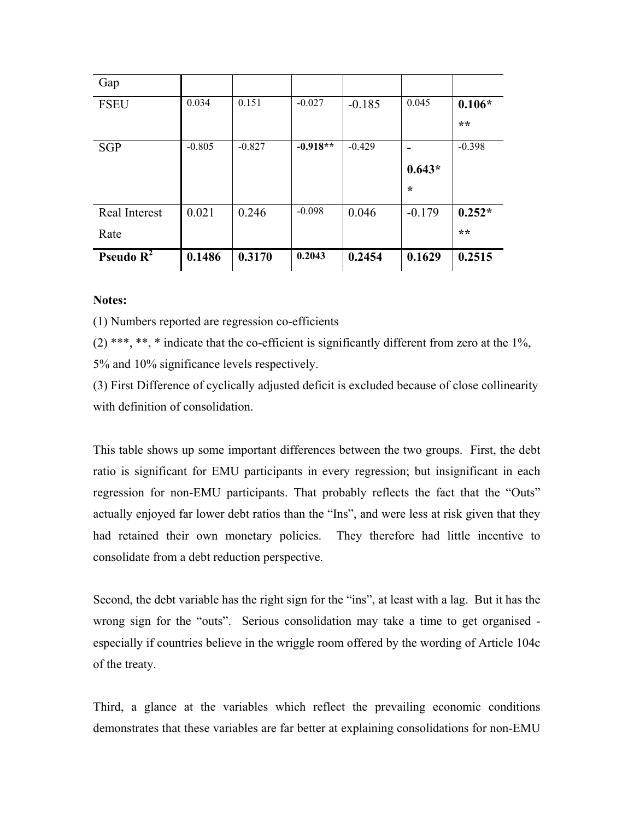| Gap                 |          |          |            |          |          |          |
|---------------------|----------|----------|------------|----------|----------|----------|
| <b>FSEU</b>         | 0.034    | 0.151    | $-0.027$   | $-0.185$ | 0.045    | $0.106*$ |
|                     |          |          |            |          |          | **       |
| <b>SGP</b>          | $-0.805$ | $-0.827$ | $-0.918**$ | $-0.429$ |          | $-0.398$ |
|                     |          |          |            |          | $0.643*$ |          |
|                     |          |          |            |          | $\star$  |          |
| Real Interest       | 0.021    | 0.246    | $-0.098$   | 0.046    | $-0.179$ | $0.252*$ |
| Rate                |          |          |            |          |          | **       |
| <b>Pseudo</b> $R^2$ | 0.1486   | 0.3170   | 0.2043     | 0.2454   | 0.1629   | 0.2515   |

**Notes:** 

(1) Numbers reported are regression co-efficients

 $(2)$  \*\*\*, \*\*, \* indicate that the co-efficient is significantly different from zero at the 1%, 5% and 10% significance levels respectively.

(3) First Difference of cyclically adjusted deficit is excluded because of close collinearity with definition of consolidation.

This table shows up some important differences between the two groups. First, the debt ratio is significant for EMU participants in every regression; but insignificant in each regression for non-EMU participants. That probably reflects the fact that the "Outs" actually enjoyed far lower debt ratios than the "Ins", and were less at risk given that they had retained their own monetary policies. They therefore had little incentive to consolidate from a debt reduction perspective.

Second, the debt variable has the right sign for the "ins", at least with a lag. But it has the wrong sign for the "outs". Serious consolidation may take a time to get organised especially if countries believe in the wriggle room offered by the wording of Article 104c of the treaty.

Third, a glance at the variables which reflect the prevailing economic conditions demonstrates that these variables are far better at explaining consolidations for non-EMU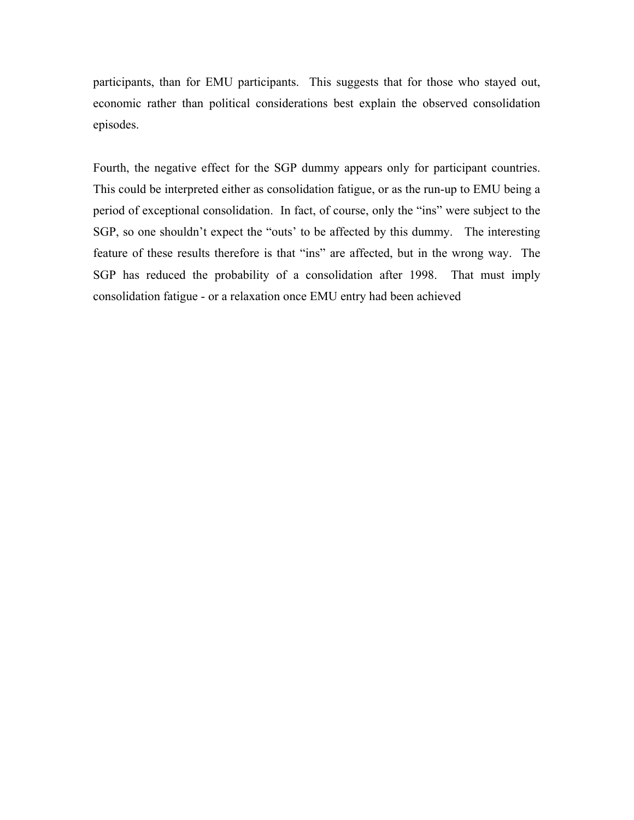participants, than for EMU participants. This suggests that for those who stayed out, economic rather than political considerations best explain the observed consolidation episodes.

Fourth, the negative effect for the SGP dummy appears only for participant countries. This could be interpreted either as consolidation fatigue, or as the run-up to EMU being a period of exceptional consolidation. In fact, of course, only the "ins" were subject to the SGP, so one shouldn't expect the "outs' to be affected by this dummy. The interesting feature of these results therefore is that "ins" are affected, but in the wrong way. The SGP has reduced the probability of a consolidation after 1998. That must imply consolidation fatigue - or a relaxation once EMU entry had been achieved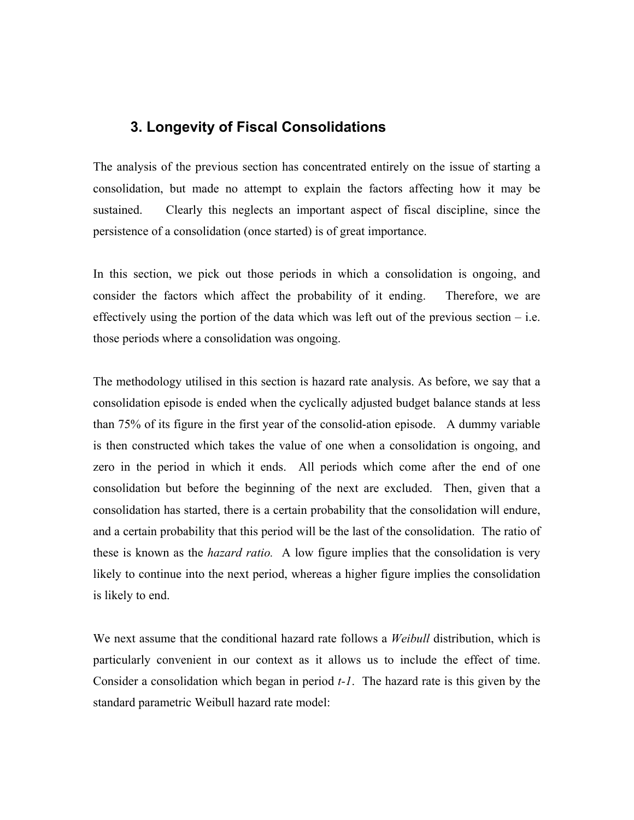## **3. Longevity of Fiscal Consolidations**

The analysis of the previous section has concentrated entirely on the issue of starting a consolidation, but made no attempt to explain the factors affecting how it may be sustained. Clearly this neglects an important aspect of fiscal discipline, since the persistence of a consolidation (once started) is of great importance.

In this section, we pick out those periods in which a consolidation is ongoing, and consider the factors which affect the probability of it ending. Therefore, we are effectively using the portion of the data which was left out of the previous section  $-$  i.e. those periods where a consolidation was ongoing.

The methodology utilised in this section is hazard rate analysis. As before, we say that a consolidation episode is ended when the cyclically adjusted budget balance stands at less than 75% of its figure in the first year of the consolid-ation episode. A dummy variable is then constructed which takes the value of one when a consolidation is ongoing, and zero in the period in which it ends. All periods which come after the end of one consolidation but before the beginning of the next are excluded. Then, given that a consolidation has started, there is a certain probability that the consolidation will endure, and a certain probability that this period will be the last of the consolidation. The ratio of these is known as the *hazard ratio.* A low figure implies that the consolidation is very likely to continue into the next period, whereas a higher figure implies the consolidation is likely to end.

We next assume that the conditional hazard rate follows a *Weibull* distribution, which is particularly convenient in our context as it allows us to include the effect of time. Consider a consolidation which began in period *t-1*. The hazard rate is this given by the standard parametric Weibull hazard rate model: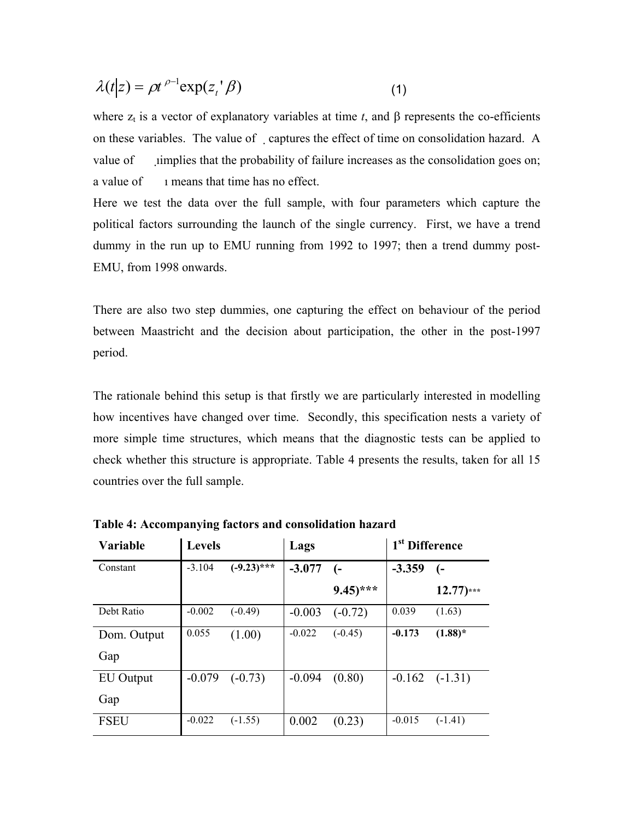$$
\lambda(t|z) = \rho t^{\rho-1} \exp(z_t \, \beta) \tag{1}
$$

where  $z_t$  is a vector of explanatory variables at time *t*, and  $\beta$  represents the co-efficients on these variables. The value of captures the effect of time on consolidation hazard. A value of implies that the probability of failure increases as the consolidation goes on; a value of  $\qquad$  1 means that time has no effect.

Here we test the data over the full sample, with four parameters which capture the political factors surrounding the launch of the single currency. First, we have a trend dummy in the run up to EMU running from 1992 to 1997; then a trend dummy post-EMU, from 1998 onwards.

There are also two step dummies, one capturing the effect on behaviour of the period between Maastricht and the decision about participation, the other in the post-1997 period.

The rationale behind this setup is that firstly we are particularly interested in modelling how incentives have changed over time. Secondly, this specification nests a variety of more simple time structures, which means that the diagnostic tests can be applied to check whether this structure is appropriate. Table 4 presents the results, taken for all 15 countries over the full sample.

| Variable    | <b>Levels</b> |               | Lags     |                       | 1 <sup>st</sup> Difference |              |
|-------------|---------------|---------------|----------|-----------------------|----------------------------|--------------|
| Constant    | $-3.104$      | $(-9.23)$ *** | $-3.077$ | $(-$                  | $-3.359$                   | (-           |
|             |               |               |          | $9.45$ <sup>***</sup> |                            | $12.77$ )*** |
| Debt Ratio  | $-0.002$      | $(-0.49)$     | $-0.003$ | $(-0.72)$             | 0.039                      | (1.63)       |
| Dom. Output | 0.055         | (1.00)        | $-0.022$ | $(-0.45)$             | $-0.173$                   | $(1.88)$ *   |
| Gap         |               |               |          |                       |                            |              |
| EU Output   | $-0.079$      | $(-0.73)$     | $-0.094$ | (0.80)                | $-0.162$                   | $(-1.31)$    |
| Gap         |               |               |          |                       |                            |              |
| <b>FSEU</b> | $-0.022$      | $(-1.55)$     | 0.002    | (0.23)                | $-0.015$                   | $(-1.41)$    |

**Table 4: Accompanying factors and consolidation hazard**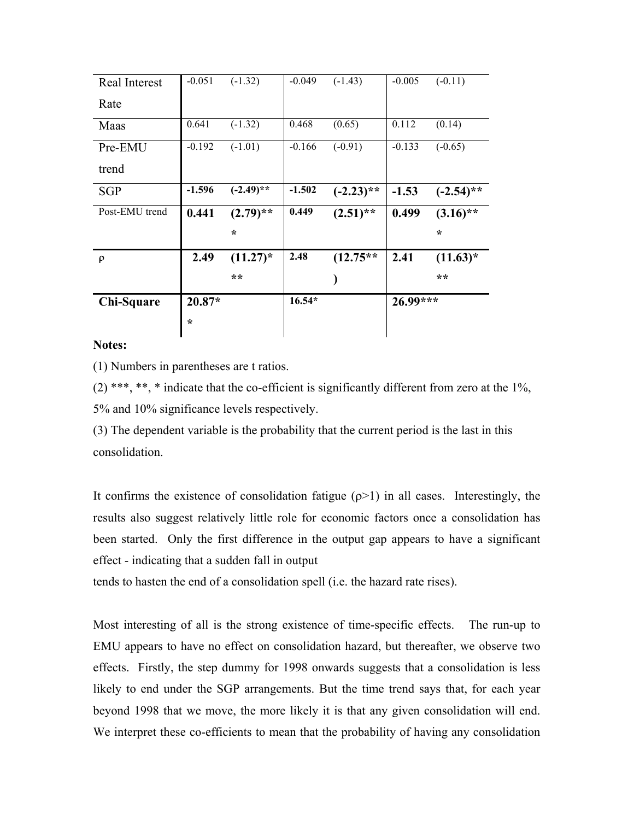| Real Interest  | $-0.051$ | $(-1.32)$    | $-0.049$ | $(-1.43)$    | $-0.005$ | $(-0.11)$    |
|----------------|----------|--------------|----------|--------------|----------|--------------|
| Rate           |          |              |          |              |          |              |
| Maas           | 0.641    | $(-1.32)$    | 0.468    | (0.65)       | 0.112    | (0.14)       |
| Pre-EMU        | $-0.192$ | $(-1.01)$    | $-0.166$ | $(-0.91)$    | $-0.133$ | $(-0.65)$    |
| trend          |          |              |          |              |          |              |
| <b>SGP</b>     | $-1.596$ | $(-2.49)$ ** | $-1.502$ | $(-2.23)$ ** | $-1.53$  | $(-2.54)$ ** |
| Post-EMU trend | 0.441    | $(2.79)$ **  | 0.449    | $(2.51)$ **  | 0.499    | $(3.16)$ **  |
|                |          |              |          |              |          |              |
|                |          | $\star$      |          |              |          | $\star$      |
| $\rho$         | 2.49     | $(11.27)^*$  | 2.48     | $(12.75**$   | 2.41     | $(11.63)^*$  |
|                |          | **           |          |              |          | **           |
| Chi-Square     | $20.87*$ |              | $16.54*$ |              | 26.99*** |              |

### **Notes:**

(1) Numbers in parentheses are t ratios.

 $(2)$  \*\*\*, \*\*, \* indicate that the co-efficient is significantly different from zero at the 1%, 5% and 10% significance levels respectively.

(3) The dependent variable is the probability that the current period is the last in this consolidation.

It confirms the existence of consolidation fatigue  $(\rho > 1)$  in all cases. Interestingly, the results also suggest relatively little role for economic factors once a consolidation has been started. Only the first difference in the output gap appears to have a significant effect - indicating that a sudden fall in output

tends to hasten the end of a consolidation spell (i.e. the hazard rate rises).

Most interesting of all is the strong existence of time-specific effects. The run-up to EMU appears to have no effect on consolidation hazard, but thereafter, we observe two effects. Firstly, the step dummy for 1998 onwards suggests that a consolidation is less likely to end under the SGP arrangements. But the time trend says that, for each year beyond 1998 that we move, the more likely it is that any given consolidation will end. We interpret these co-efficients to mean that the probability of having any consolidation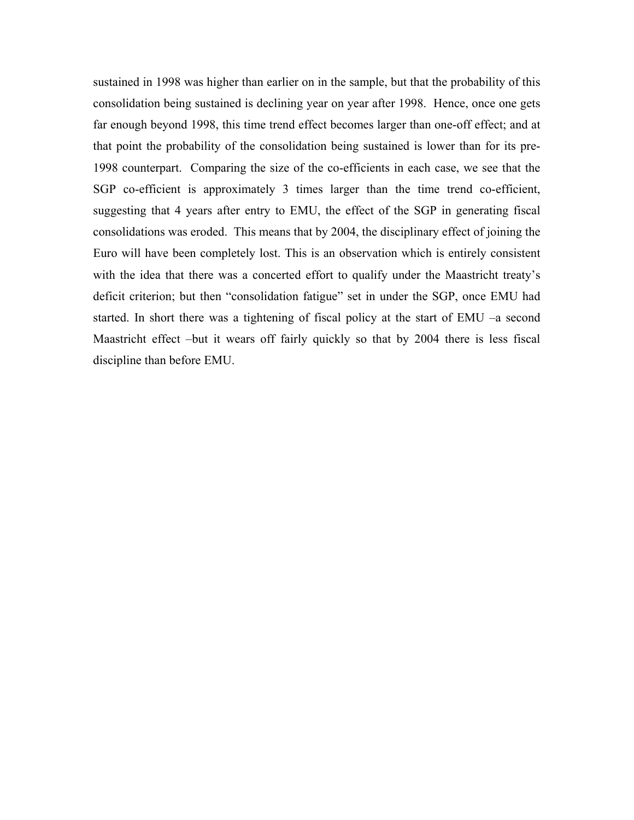sustained in 1998 was higher than earlier on in the sample, but that the probability of this consolidation being sustained is declining year on year after 1998. Hence, once one gets far enough beyond 1998, this time trend effect becomes larger than one-off effect; and at that point the probability of the consolidation being sustained is lower than for its pre-1998 counterpart. Comparing the size of the co-efficients in each case, we see that the SGP co-efficient is approximately 3 times larger than the time trend co-efficient, suggesting that 4 years after entry to EMU, the effect of the SGP in generating fiscal consolidations was eroded. This means that by 2004, the disciplinary effect of joining the Euro will have been completely lost. This is an observation which is entirely consistent with the idea that there was a concerted effort to qualify under the Maastricht treaty's deficit criterion; but then "consolidation fatigue" set in under the SGP, once EMU had started. In short there was a tightening of fiscal policy at the start of EMU –a second Maastricht effect –but it wears off fairly quickly so that by 2004 there is less fiscal discipline than before EMU.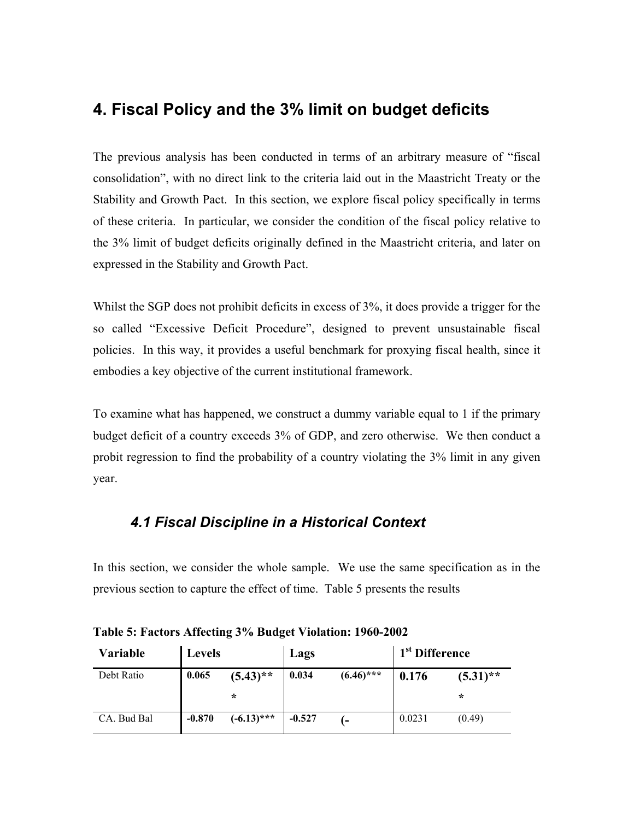## **4. Fiscal Policy and the 3% limit on budget deficits**

The previous analysis has been conducted in terms of an arbitrary measure of "fiscal consolidation", with no direct link to the criteria laid out in the Maastricht Treaty or the Stability and Growth Pact. In this section, we explore fiscal policy specifically in terms of these criteria. In particular, we consider the condition of the fiscal policy relative to the 3% limit of budget deficits originally defined in the Maastricht criteria, and later on expressed in the Stability and Growth Pact.

Whilst the SGP does not prohibit deficits in excess of 3%, it does provide a trigger for the so called "Excessive Deficit Procedure", designed to prevent unsustainable fiscal policies. In this way, it provides a useful benchmark for proxying fiscal health, since it embodies a key objective of the current institutional framework.

To examine what has happened, we construct a dummy variable equal to 1 if the primary budget deficit of a country exceeds 3% of GDP, and zero otherwise. We then conduct a probit regression to find the probability of a country violating the 3% limit in any given year.

## *4.1 Fiscal Discipline in a Historical Context*

In this section, we consider the whole sample. We use the same specification as in the previous section to capture the effect of time. Table 5 presents the results

| Variable    | Levels   |               | Lags     |                | 1 <sup>st</sup> Difference |             |
|-------------|----------|---------------|----------|----------------|----------------------------|-------------|
| Debt Ratio  | 0.065    | $(5.43)$ **   | 0.034    | $(6.46)$ ***   | 0.176                      | $(5.31)$ ** |
|             |          | $\ast$        |          |                |                            | $\star$     |
| CA. Bud Bal | $-0.870$ | $(-6.13)$ *** | $-0.527$ | $\overline{a}$ | 0.0231                     | (0.49)      |

**Table 5: Factors Affecting 3% Budget Violation: 1960-2002**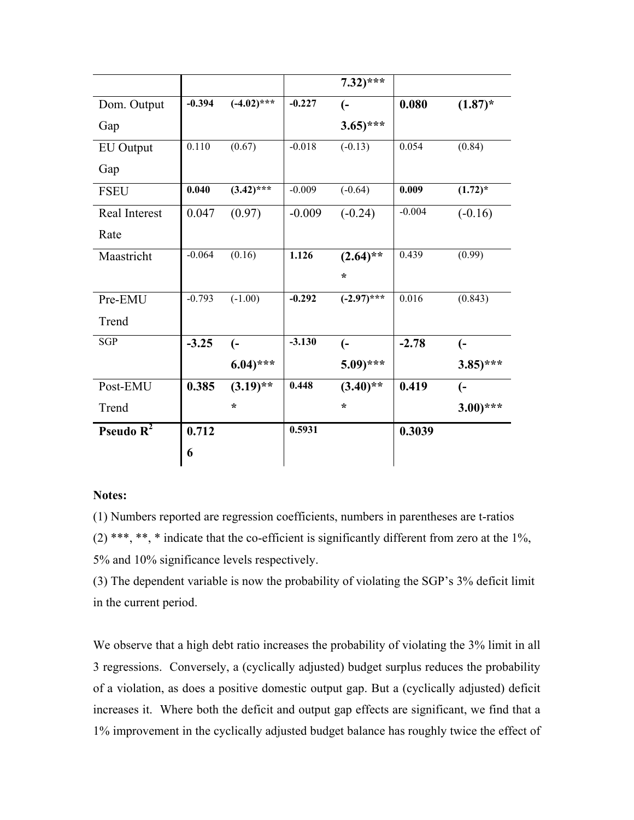|                  |          |                         |          | $7.32$ <sup>***</sup> |          |                       |
|------------------|----------|-------------------------|----------|-----------------------|----------|-----------------------|
| Dom. Output      | $-0.394$ | $\overline{(-4.02)$ *** | $-0.227$ | $\overline{(-)}$      | 0.080    | $(1.87)^*$            |
| Gap              |          |                         |          | $3.65$ <sup>***</sup> |          |                       |
| <b>EU</b> Output | 0.110    | (0.67)                  | $-0.018$ | $(-0.13)$             | 0.054    | (0.84)                |
| Gap              |          |                         |          |                       |          |                       |
| <b>FSEU</b>      | 0.040    | $(3.42)$ ***            | $-0.009$ | $(-0.64)$             | 0.009    | $(1.72)^*$            |
| Real Interest    | 0.047    | (0.97)                  | $-0.009$ | $(-0.24)$             | $-0.004$ | $(-0.16)$             |
| Rate             |          |                         |          |                       |          |                       |
| Maastricht       | $-0.064$ | (0.16)                  | 1.126    | $(2.64)$ **           | 0.439    | (0.99)                |
|                  |          |                         |          | $\star$               |          |                       |
| Pre-EMU          | $-0.793$ | $(-1.00)$               | $-0.292$ | $(-2.97)$ ***         | 0.016    | (0.843)               |
| Trend            |          |                         |          |                       |          |                       |
| <b>SGP</b>       | $-3.25$  | $\overline{(-)}$        | $-3.130$ | $\overline{(-)}$      | $-2.78$  | $\overline{(-)}$      |
|                  |          | $6.04$ <sup>***</sup>   |          | $5.09$ <sup>***</sup> |          | $(3.85)$ ***          |
| Post-EMU         | 0.385    | $(3.19)$ **             | 0.448    | $(3.40)$ **           | 0.419    | $\overline{(-)}$      |
| Trend            |          | $\star$                 |          | $\star$               |          | $3.00$ <sup>***</sup> |
| Pseudo $R^2$     | 0.712    |                         | 0.5931   |                       | 0.3039   |                       |
|                  | 6        |                         |          |                       |          |                       |

### **Notes:**

(1) Numbers reported are regression coefficients, numbers in parentheses are t-ratios  $(2)$  \*\*\*, \*\*, \* indicate that the co-efficient is significantly different from zero at the 1%, 5% and 10% significance levels respectively.

(3) The dependent variable is now the probability of violating the SGP's 3% deficit limit in the current period.

We observe that a high debt ratio increases the probability of violating the 3% limit in all 3 regressions. Conversely, a (cyclically adjusted) budget surplus reduces the probability of a violation, as does a positive domestic output gap. But a (cyclically adjusted) deficit increases it. Where both the deficit and output gap effects are significant, we find that a 1% improvement in the cyclically adjusted budget balance has roughly twice the effect of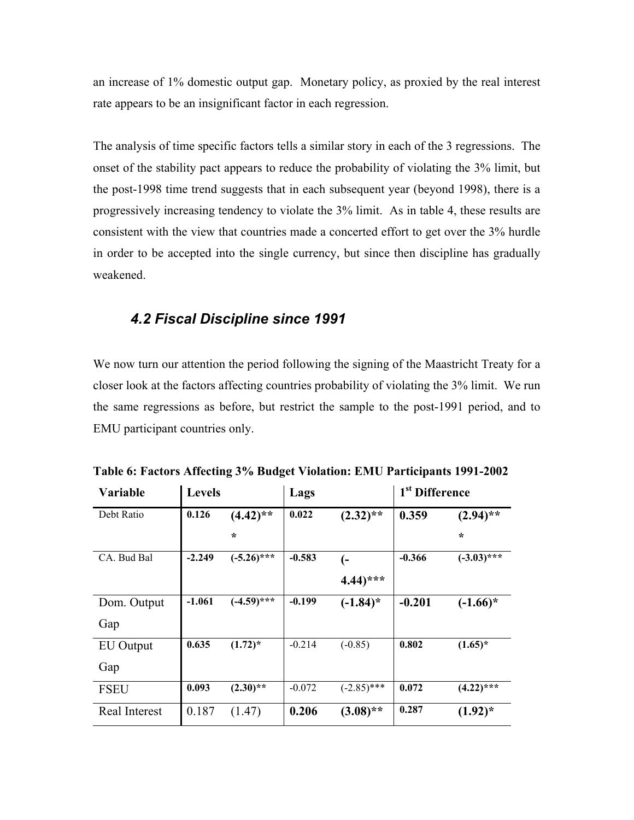an increase of 1% domestic output gap. Monetary policy, as proxied by the real interest rate appears to be an insignificant factor in each regression.

The analysis of time specific factors tells a similar story in each of the 3 regressions. The onset of the stability pact appears to reduce the probability of violating the 3% limit, but the post-1998 time trend suggests that in each subsequent year (beyond 1998), there is a progressively increasing tendency to violate the 3% limit. As in table 4, these results are consistent with the view that countries made a concerted effort to get over the 3% hurdle in order to be accepted into the single currency, but since then discipline has gradually weakened.

### *4.2 Fiscal Discipline since 1991*

We now turn our attention the period following the signing of the Maastricht Treaty for a closer look at the factors affecting countries probability of violating the 3% limit. We run the same regressions as before, but restrict the sample to the post-1991 period, and to EMU participant countries only.

| Variable         | <b>Levels</b> |               | Lags     |                       | 1 <sup>st</sup> Difference |               |
|------------------|---------------|---------------|----------|-----------------------|----------------------------|---------------|
| Debt Ratio       | 0.126         | $(4.42)$ **   | 0.022    | $(2.32)$ **           | 0.359                      | $(2.94)$ **   |
|                  |               | $\star$       |          |                       |                            | $\star$       |
| CA. Bud Bal      | $-2.249$      | $(-5.26)$ *** | $-0.583$ | (−                    | $-0.366$                   | $(-3.03)$ *** |
|                  |               |               |          | $4.44$ <sup>***</sup> |                            |               |
| Dom. Output      | $-1.061$      | $(-4.59)$ *** | $-0.199$ | $(-1.84)^*$           | $-0.201$                   | $(-1.66)^*$   |
| Gap              |               |               |          |                       |                            |               |
| <b>EU</b> Output | 0.635         | $(1.72)^*$    | $-0.214$ | $(-0.85)$             | 0.802                      | $(1.65)^*$    |
| Gap              |               |               |          |                       |                            |               |
| <b>FSEU</b>      | 0.093         | $(2.30)$ **   | $-0.072$ | $(-2.85)$ ***         | 0.072                      | $(4.22)$ ***  |
| Real Interest    | 0.187         | (1.47)        | 0.206    | $(3.08)$ **           | 0.287                      | $(1.92)^{*}$  |

**Table 6: Factors Affecting 3% Budget Violation: EMU Participants 1991-2002**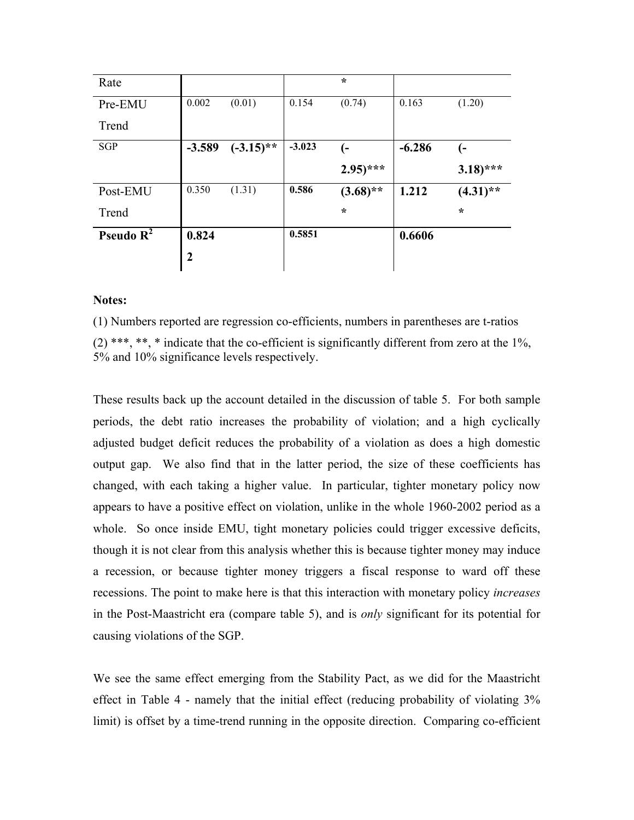| Rate         |                |              |          | $\star$      |          |                       |
|--------------|----------------|--------------|----------|--------------|----------|-----------------------|
| Pre-EMU      | 0.002          | (0.01)       | 0.154    | (0.74)       | 0.163    | (1.20)                |
| Trend        |                |              |          |              |          |                       |
| <b>SGP</b>   | $-3.589$       | $(-3.15)$ ** | $-3.023$ | (−           | $-6.286$ | (-                    |
|              |                |              |          | $(2.95)$ *** |          | $3.18$ <sup>***</sup> |
| Post-EMU     | 0.350          | (1.31)       | 0.586    | $(3.68)$ **  | 1.212    | $(4.31)$ **           |
| Trend        |                |              |          | $\star$      |          | $\star$               |
| Pseudo $R^2$ | 0.824          |              | 0.5851   |              | 0.6606   |                       |
|              | $\overline{2}$ |              |          |              |          |                       |

#### **Notes:**

(1) Numbers reported are regression co-efficients, numbers in parentheses are t-ratios  $(2)$  \*\*\*, \*\*, \* indicate that the co-efficient is significantly different from zero at the 1%, 5% and 10% significance levels respectively.

These results back up the account detailed in the discussion of table 5. For both sample periods, the debt ratio increases the probability of violation; and a high cyclically adjusted budget deficit reduces the probability of a violation as does a high domestic output gap. We also find that in the latter period, the size of these coefficients has changed, with each taking a higher value. In particular, tighter monetary policy now appears to have a positive effect on violation, unlike in the whole 1960-2002 period as a whole. So once inside EMU, tight monetary policies could trigger excessive deficits, though it is not clear from this analysis whether this is because tighter money may induce a recession, or because tighter money triggers a fiscal response to ward off these recessions. The point to make here is that this interaction with monetary policy *increases* in the Post-Maastricht era (compare table 5), and is *only* significant for its potential for causing violations of the SGP.

We see the same effect emerging from the Stability Pact, as we did for the Maastricht effect in Table 4 - namely that the initial effect (reducing probability of violating 3% limit) is offset by a time-trend running in the opposite direction. Comparing co-efficient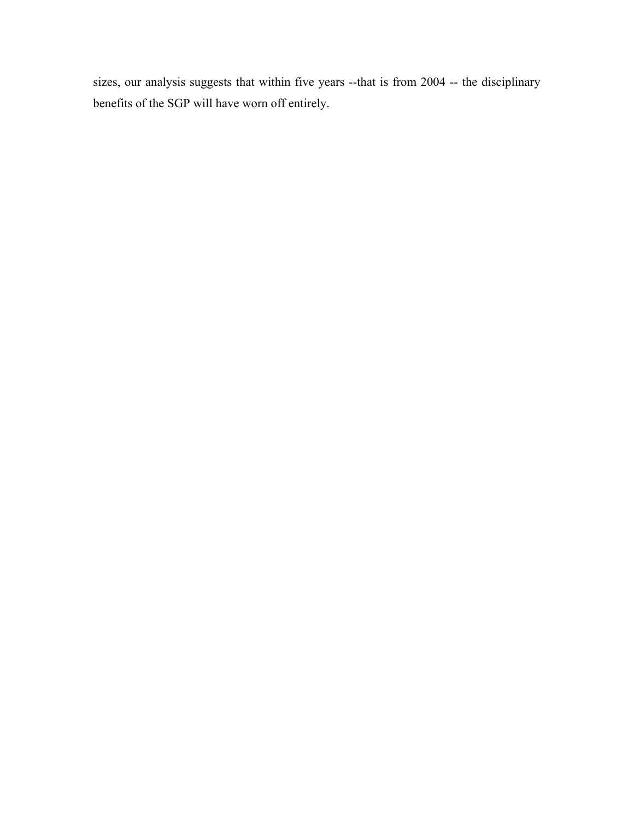sizes, our analysis suggests that within five years --that is from 2004 -- the disciplinary benefits of the SGP will have worn off entirely.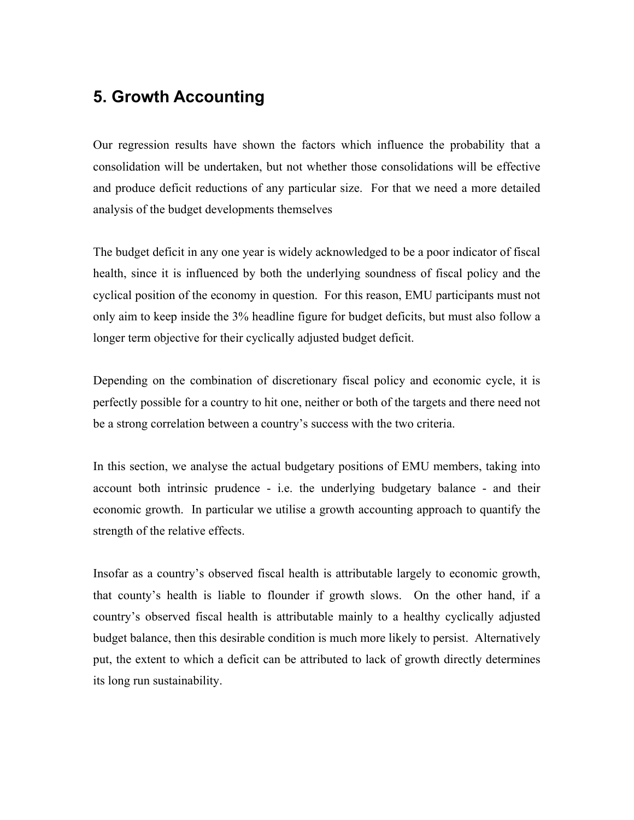## **5. Growth Accounting**

Our regression results have shown the factors which influence the probability that a consolidation will be undertaken, but not whether those consolidations will be effective and produce deficit reductions of any particular size. For that we need a more detailed analysis of the budget developments themselves

The budget deficit in any one year is widely acknowledged to be a poor indicator of fiscal health, since it is influenced by both the underlying soundness of fiscal policy and the cyclical position of the economy in question. For this reason, EMU participants must not only aim to keep inside the 3% headline figure for budget deficits, but must also follow a longer term objective for their cyclically adjusted budget deficit.

Depending on the combination of discretionary fiscal policy and economic cycle, it is perfectly possible for a country to hit one, neither or both of the targets and there need not be a strong correlation between a country's success with the two criteria.

In this section, we analyse the actual budgetary positions of EMU members, taking into account both intrinsic prudence - i.e. the underlying budgetary balance - and their economic growth. In particular we utilise a growth accounting approach to quantify the strength of the relative effects.

Insofar as a country's observed fiscal health is attributable largely to economic growth, that county's health is liable to flounder if growth slows. On the other hand, if a country's observed fiscal health is attributable mainly to a healthy cyclically adjusted budget balance, then this desirable condition is much more likely to persist. Alternatively put, the extent to which a deficit can be attributed to lack of growth directly determines its long run sustainability.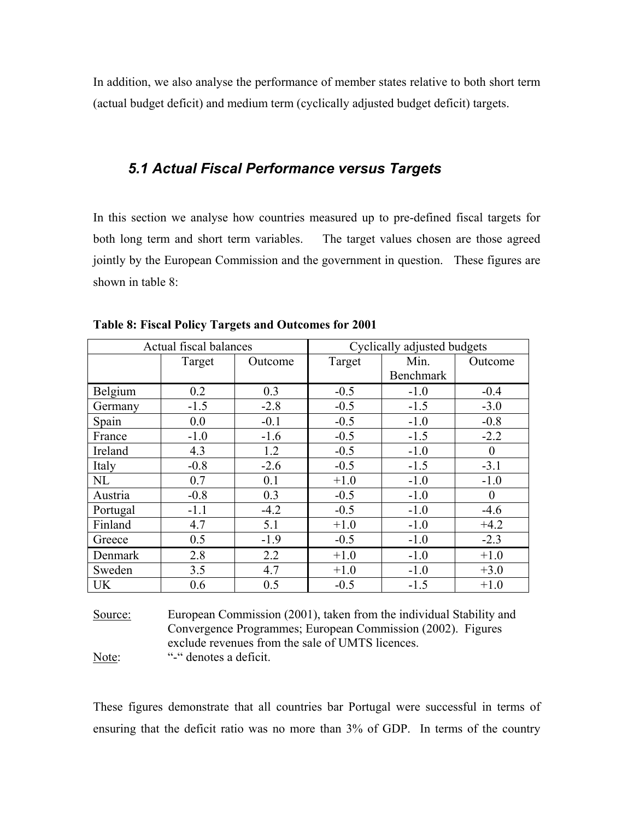In addition, we also analyse the performance of member states relative to both short term (actual budget deficit) and medium term (cyclically adjusted budget deficit) targets.

## *5.1 Actual Fiscal Performance versus Targets*

In this section we analyse how countries measured up to pre-defined fiscal targets for both long term and short term variables. The target values chosen are those agreed jointly by the European Commission and the government in question. These figures are shown in table  $8<sup>+</sup>$ 

|           | Actual fiscal balances |         | Cyclically adjusted budgets |           |                  |  |
|-----------|------------------------|---------|-----------------------------|-----------|------------------|--|
|           | Target                 | Outcome | Target                      | Min.      | Outcome          |  |
|           |                        |         |                             | Benchmark |                  |  |
| Belgium   | 0.2                    | 0.3     | $-0.5$                      | $-1.0$    | $-0.4$           |  |
| Germany   | $-1.5$                 | $-2.8$  | $-0.5$                      | $-1.5$    | $-3.0$           |  |
| Spain     | 0.0                    | $-0.1$  | $-0.5$                      | $-1.0$    | $-0.8$           |  |
| France    | $-1.0$                 | $-1.6$  | $-0.5$                      | $-1.5$    | $-2.2$           |  |
| Ireland   | 4.3                    | 1.2     | $-0.5$                      | $-1.0$    | $\boldsymbol{0}$ |  |
| Italy     | $-0.8$                 | $-2.6$  | $-0.5$                      | $-1.5$    | $-3.1$           |  |
| NL        | 0.7                    | 0.1     | $+1.0$                      | $-1.0$    | $-1.0$           |  |
| Austria   | $-0.8$                 | 0.3     | $-0.5$                      | $-1.0$    | $\boldsymbol{0}$ |  |
| Portugal  | $-1.1$                 | $-4.2$  | $-0.5$                      | $-1.0$    | $-4.6$           |  |
| Finland   | 4.7                    | 5.1     | $+1.0$                      | $-1.0$    | $+4.2$           |  |
| Greece    | 0.5                    | $-1.9$  | $-0.5$                      | $-1.0$    | $-2.3$           |  |
| Denmark   | 2.8                    | 2.2     | $+1.0$                      | $-1.0$    | $+1.0$           |  |
| Sweden    | 3.5                    | 4.7     | $+1.0$                      | $-1.0$    | $+3.0$           |  |
| <b>UK</b> | 0.6                    | 0.5     | $-0.5$                      | $-1.5$    | $+1.0$           |  |

**Table 8: Fiscal Policy Targets and Outcomes for 2001** 

Source: European Commission (2001), taken from the individual Stability and Convergence Programmes; European Commission (2002). Figures exclude revenues from the sale of UMTS licences. Note: "-" denotes a deficit.

These figures demonstrate that all countries bar Portugal were successful in terms of ensuring that the deficit ratio was no more than 3% of GDP. In terms of the country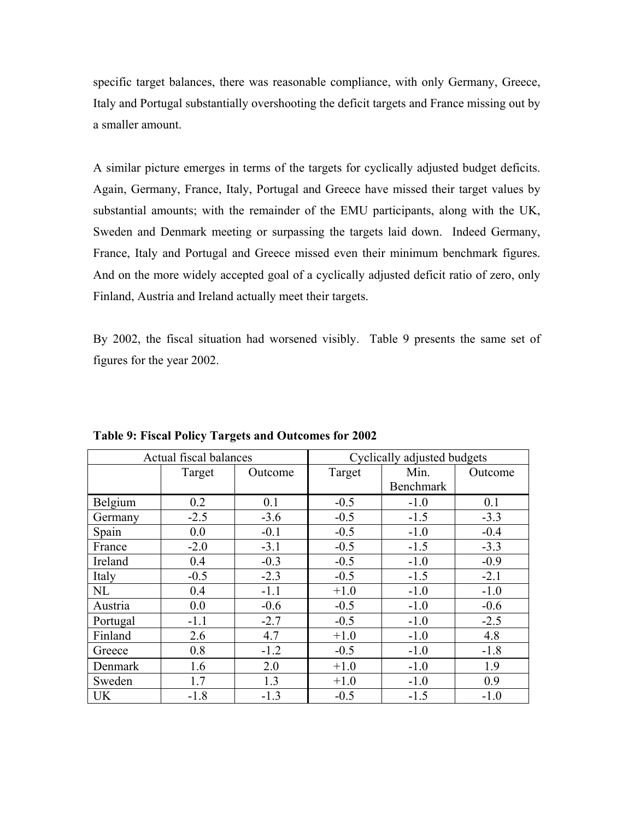specific target balances, there was reasonable compliance, with only Germany, Greece, Italy and Portugal substantially overshooting the deficit targets and France missing out by a smaller amount.

A similar picture emerges in terms of the targets for cyclically adjusted budget deficits. Again, Germany, France, Italy, Portugal and Greece have missed their target values by substantial amounts; with the remainder of the EMU participants, along with the UK, Sweden and Denmark meeting or surpassing the targets laid down. Indeed Germany, France, Italy and Portugal and Greece missed even their minimum benchmark figures. And on the more widely accepted goal of a cyclically adjusted deficit ratio of zero, only Finland, Austria and Ireland actually meet their targets.

By 2002, the fiscal situation had worsened visibly. Table 9 presents the same set of figures for the year 2002.

|           | Actual fiscal balances |         | Cyclically adjusted budgets |                  |         |  |  |  |
|-----------|------------------------|---------|-----------------------------|------------------|---------|--|--|--|
|           | Target                 | Outcome | Target                      | Min.             | Outcome |  |  |  |
|           |                        |         |                             | <b>Benchmark</b> |         |  |  |  |
| Belgium   | 0.2                    | 0.1     | $-0.5$                      | $-1.0$           | 0.1     |  |  |  |
| Germany   | $-2.5$                 | $-3.6$  | $-0.5$                      | $-1.5$           | $-3.3$  |  |  |  |
| Spain     | 0.0                    | $-0.1$  | $-0.5$                      | $-1.0$           | $-0.4$  |  |  |  |
| France    | $-2.0$                 | $-3.1$  | $-0.5$                      | $-1.5$           | $-3.3$  |  |  |  |
| Ireland   | 0.4                    | $-0.3$  | $-0.5$                      | $-1.0$           | $-0.9$  |  |  |  |
| Italy     | $-0.5$                 | $-2.3$  | $-0.5$                      | $-1.5$           | $-2.1$  |  |  |  |
| NL        | 0.4                    | $-1.1$  | $+1.0$                      | $-1.0$           | $-1.0$  |  |  |  |
| Austria   | 0.0                    | $-0.6$  | $-0.5$                      | $-1.0$           | $-0.6$  |  |  |  |
| Portugal  | $-1.1$                 | $-2.7$  | $-0.5$                      | $-1.0$           | $-2.5$  |  |  |  |
| Finland   | 2.6                    | 4.7     | $+1.0$                      | $-1.0$           | 4.8     |  |  |  |
| Greece    | 0.8                    | $-1.2$  | $-0.5$                      | $-1.0$           | $-1.8$  |  |  |  |
| Denmark   | 1.6                    | 2.0     | $+1.0$                      | $-1.0$           | 1.9     |  |  |  |
| Sweden    | 1.7                    | 1.3     | $+1.0$                      | $-1.0$           | 0.9     |  |  |  |
| <b>UK</b> | $-1.8$                 | $-1.3$  | $-0.5$                      | $-1.5$           | $-1.0$  |  |  |  |

**Table 9: Fiscal Policy Targets and Outcomes for 2002**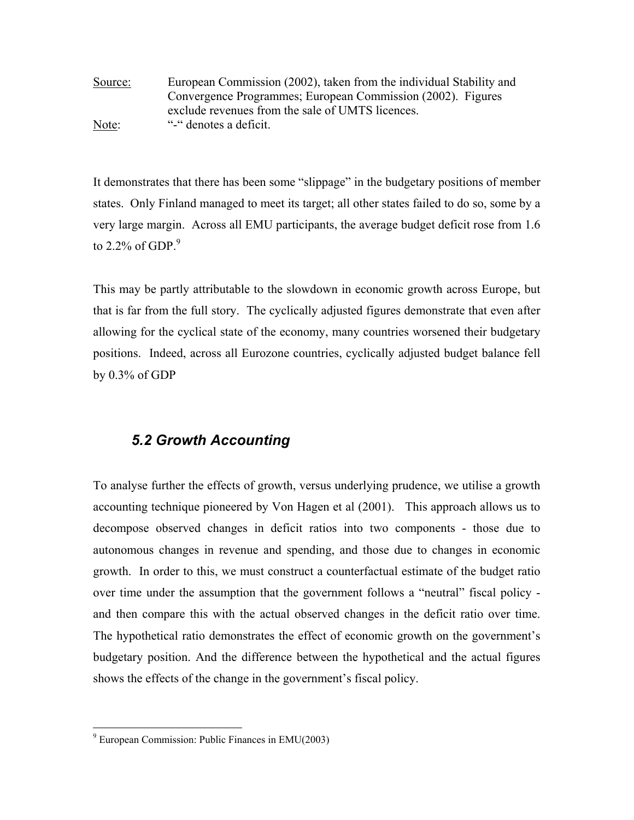Source: European Commission (2002), taken from the individual Stability and Convergence Programmes; European Commission (2002). Figures exclude revenues from the sale of UMTS licences. Note: "-" denotes a deficit.

It demonstrates that there has been some "slippage" in the budgetary positions of member states. Only Finland managed to meet its target; all other states failed to do so, some by a very large margin. Across all EMU participants, the average budget deficit rose from 1.6 to 2.2% of GDP. $9$ 

This may be partly attributable to the slowdown in economic growth across Europe, but that is far from the full story. The cyclically adjusted figures demonstrate that even after allowing for the cyclical state of the economy, many countries worsened their budgetary positions. Indeed, across all Eurozone countries, cyclically adjusted budget balance fell by 0.3% of GDP

## *5.2 Growth Accounting*

To analyse further the effects of growth, versus underlying prudence, we utilise a growth accounting technique pioneered by Von Hagen et al (2001). This approach allows us to decompose observed changes in deficit ratios into two components - those due to autonomous changes in revenue and spending, and those due to changes in economic growth. In order to this, we must construct a counterfactual estimate of the budget ratio over time under the assumption that the government follows a "neutral" fiscal policy and then compare this with the actual observed changes in the deficit ratio over time. The hypothetical ratio demonstrates the effect of economic growth on the government's budgetary position. And the difference between the hypothetical and the actual figures shows the effects of the change in the government's fiscal policy.

 $\overline{a}$ 

<span id="page-27-0"></span><sup>9</sup> European Commission: Public Finances in EMU(2003)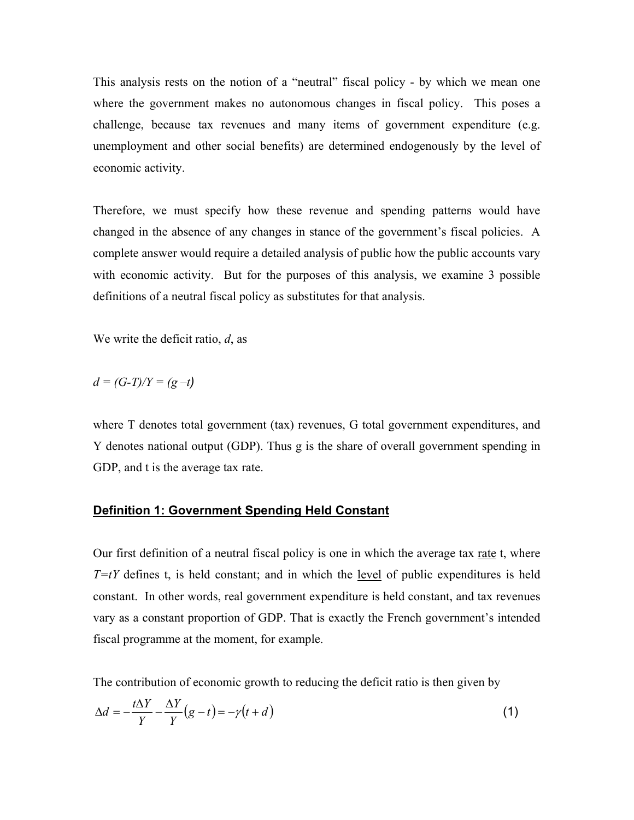This analysis rests on the notion of a "neutral" fiscal policy - by which we mean one where the government makes no autonomous changes in fiscal policy. This poses a challenge, because tax revenues and many items of government expenditure (e.g. unemployment and other social benefits) are determined endogenously by the level of economic activity.

Therefore, we must specify how these revenue and spending patterns would have changed in the absence of any changes in stance of the government's fiscal policies. A complete answer would require a detailed analysis of public how the public accounts vary with economic activity. But for the purposes of this analysis, we examine 3 possible definitions of a neutral fiscal policy as substitutes for that analysis.

We write the deficit ratio, *d*, as

$$
d = (G-T)/Y = (g-t)
$$

where T denotes total government (tax) revenues, G total government expenditures, and Y denotes national output (GDP). Thus g is the share of overall government spending in GDP, and t is the average tax rate.

#### **Definition 1: Government Spending Held Constant**

Our first definition of a neutral fiscal policy is one in which the average tax rate t, where  $T=tY$  defines t, is held constant; and in which the <u>level</u> of public expenditures is held constant. In other words, real government expenditure is held constant, and tax revenues vary as a constant proportion of GDP. That is exactly the French government's intended fiscal programme at the moment, for example.

The contribution of economic growth to reducing the deficit ratio is then given by

$$
\Delta d = -\frac{t\Delta Y}{Y} - \frac{\Delta Y}{Y}(g - t) = -\gamma(t + d)
$$
\n(1)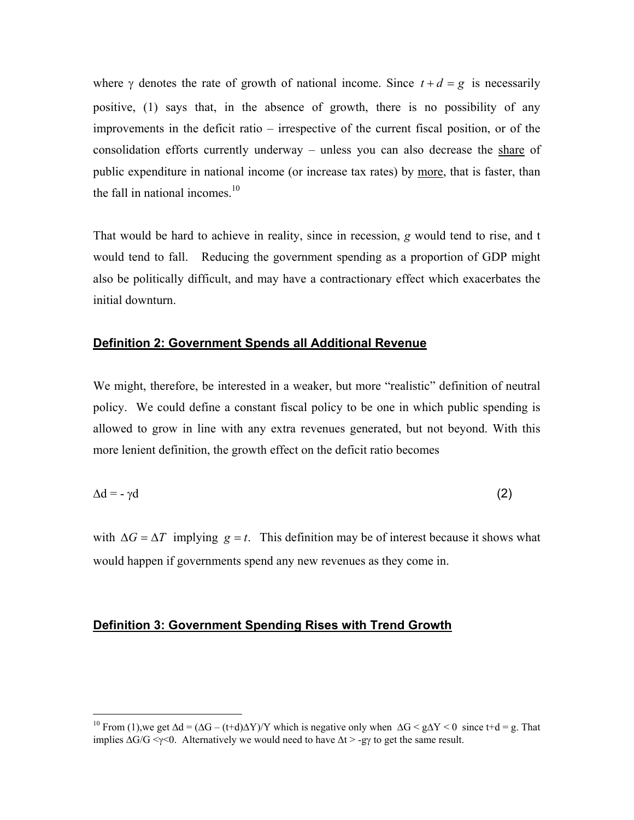where  $\gamma$  denotes the rate of growth of national income. Since  $t + d = g$  is necessarily positive, (1) says that, in the absence of growth, there is no possibility of any improvements in the deficit ratio – irrespective of the current fiscal position, or of the consolidation efforts currently underway – unless you can also decrease the share of public expenditure in national income (or increase tax rates) by more, that is faster, than the fall in national incomes.<sup>10</sup>

That would be hard to achieve in reality, since in recession, *g* would tend to rise, and t would tend to fall. Reducing the government spending as a proportion of GDP might also be politically difficult, and may have a contractionary effect which exacerbates the initial downturn.

#### **Definition 2: Government Spends all Additional Revenue**

We might, therefore, be interested in a weaker, but more "realistic" definition of neutral policy. We could define a constant fiscal policy to be one in which public spending is allowed to grow in line with any extra revenues generated, but not beyond. With this more lenient definition, the growth effect on the deficit ratio becomes

$$
\Delta d = -\gamma d \tag{2}
$$

with  $\Delta G = \Delta T$  implying  $g = t$ . This definition may be of interest because it shows what would happen if governments spend any new revenues as they come in.

#### **Definition 3: Government Spending Rises with Trend Growth**

<span id="page-29-0"></span><sup>&</sup>lt;sup>10</sup> From (1),we get  $\Delta d = (\Delta G - (t+d)\Delta Y)/Y$  which is negative only when  $\Delta G \le g\Delta Y \le 0$  since t+d = g. That implies  $\Delta G/G \le \gamma \le 0$ . Alternatively we would need to have  $\Delta t > -gy$  to get the same result.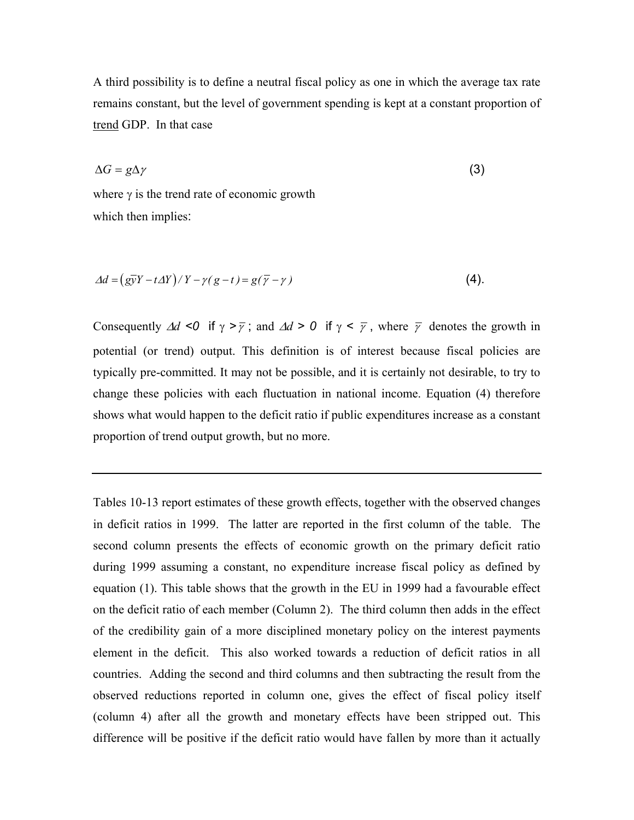A third possibility is to define a neutral fiscal policy as one in which the average tax rate remains constant, but the level of government spending is kept at a constant proportion of trend GDP. In that case

$$
\Delta G = g \Delta \gamma \tag{3}
$$

where  $\gamma$  is the trend rate of economic growth which then implies:

$$
\Delta d = \left(\frac{g\overline{\mathbf{y}}Y - t\Delta Y}{Y - \gamma(g - t)}\right) = g(\overline{\gamma} - \gamma)
$$
\n<sup>(4)</sup>

Consequently  $\Delta d \le 0$  if  $\gamma > \overline{\gamma}$ ; and  $\Delta d > 0$  if  $\gamma < \overline{\gamma}$ , where  $\overline{\gamma}$  denotes the growth in potential (or trend) output. This definition is of interest because fiscal policies are typically pre-committed. It may not be possible, and it is certainly not desirable, to try to change these policies with each fluctuation in national income. Equation (4) therefore shows what would happen to the deficit ratio if public expenditures increase as a constant proportion of trend output growth, but no more.

Tables 10-13 report estimates of these growth effects, together with the observed changes in deficit ratios in 1999. The latter are reported in the first column of the table. The second column presents the effects of economic growth on the primary deficit ratio during 1999 assuming a constant, no expenditure increase fiscal policy as defined by equation (1). This table shows that the growth in the EU in 1999 had a favourable effect on the deficit ratio of each member (Column 2). The third column then adds in the effect of the credibility gain of a more disciplined monetary policy on the interest payments element in the deficit. This also worked towards a reduction of deficit ratios in all countries. Adding the second and third columns and then subtracting the result from the observed reductions reported in column one, gives the effect of fiscal policy itself (column 4) after all the growth and monetary effects have been stripped out. This difference will be positive if the deficit ratio would have fallen by more than it actually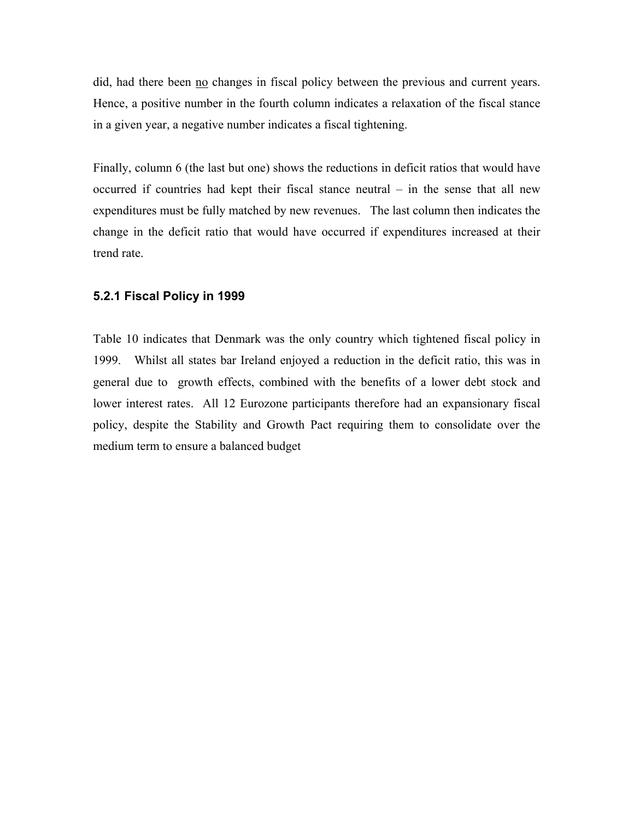did, had there been no changes in fiscal policy between the previous and current years. Hence, a positive number in the fourth column indicates a relaxation of the fiscal stance in a given year, a negative number indicates a fiscal tightening.

Finally, column 6 (the last but one) shows the reductions in deficit ratios that would have occurred if countries had kept their fiscal stance neutral – in the sense that all new expenditures must be fully matched by new revenues. The last column then indicates the change in the deficit ratio that would have occurred if expenditures increased at their trend rate.

#### **.2.1 Fiscal Policy in 1999 5**

Table 10 indicates that Denmark was the only country which tightened fiscal policy in 1999. Whilst all states bar Ireland enjoyed a reduction in the deficit ratio, this was in general due to growth effects, combined with the benefits of a lower debt stock and lower interest rates. All 12 Eurozone participants therefore had an expansionary fiscal policy, despite the Stability and Growth Pact requiring them to consolidate over the medium term to ensure a balanced budget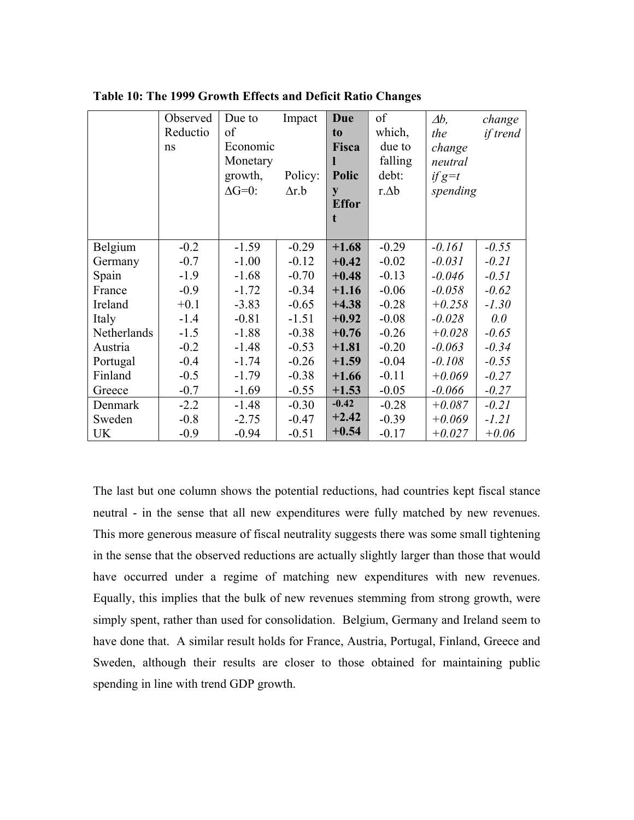|             | Observed<br>Reductio | Due to<br>of        | Impact       | Due<br>t <sub>0</sub> | of<br>which,     | $\Delta b$ ,<br>the  | change<br>if trend |
|-------------|----------------------|---------------------|--------------|-----------------------|------------------|----------------------|--------------------|
|             | ns                   | Economic            |              | Fisca                 | due to           | change               |                    |
|             |                      | Monetary<br>growth, | Policy:      | Polic                 | falling<br>debt: | neutral              |                    |
|             |                      | $\Delta G=0$ :      | $\Delta r.b$ |                       | $r \Delta b$     | $if g=t$<br>spending |                    |
|             |                      |                     |              | y<br><b>Effor</b>     |                  |                      |                    |
|             |                      |                     |              | t                     |                  |                      |                    |
|             |                      |                     |              |                       |                  |                      |                    |
| Belgium     | $-0.2$               | $-1.59$             | $-0.29$      | $+1.68$               | $-0.29$          | $-0.161$             | $-0.55$            |
| Germany     | $-0.7$               | $-1.00$             | $-0.12$      | $+0.42$               | $-0.02$          | $-0.031$             | $-0.21$            |
| Spain       | $-1.9$               | $-1.68$             | $-0.70$      | $+0.48$               | $-0.13$          | $-0.046$             | $-0.51$            |
| France      | $-0.9$               | $-1.72$             | $-0.34$      | $+1.16$               | $-0.06$          | $-0.058$             | $-0.62$            |
| Ireland     | $+0.1$               | $-3.83$             | $-0.65$      | $+4.38$               | $-0.28$          | $+0.258$             | $-1.30$            |
| Italy       | $-1.4$               | $-0.81$             | $-1.51$      | $+0.92$               | $-0.08$          | $-0.028$             | 0.0                |
| Netherlands | $-1.5$               | $-1.88$             | $-0.38$      | $+0.76$               | $-0.26$          | $+0.028$             | $-0.65$            |
| Austria     | $-0.2$               | $-1.48$             | $-0.53$      | $+1.81$               | $-0.20$          | $-0.063$             | $-0.34$            |
| Portugal    | $-0.4$               | $-1.74$             | $-0.26$      | $+1.59$               | $-0.04$          | $-0.108$             | $-0.55$            |
| Finland     | $-0.5$               | $-1.79$             | $-0.38$      | $+1.66$               | $-0.11$          | $+0.069$             | $-0.27$            |
| Greece      | $-0.7$               | $-1.69$             | $-0.55$      | $+1.53$               | $-0.05$          | $-0.066$             | $-0.27$            |
| Denmark     | $-2.2$               | $-1.48$             | $-0.30$      | $-0.42$               | $-0.28$          | $+0.087$             | $-0.21$            |
| Sweden      | $-0.8$               | $-2.75$             | $-0.47$      | $+2.42$               | $-0.39$          | $+0.069$             | $-1.21$            |
| UK          | $-0.9$               | $-0.94$             | $-0.51$      | $+0.54$               | $-0.17$          | $+0.027$             | $+0.06$            |

**Table 10: The 1999 Growth Effects and Deficit Ratio Changes** 

The last but one column shows the potential reductions, had countries kept fiscal stance neutral - in the sense that all new expenditures were fully matched by new revenues. This more generous measure of fiscal neutrality suggests there was some small tightening in the sense that the observed reductions are actually slightly larger than those that would have occurred under a regime of matching new expenditures with new revenues. Equally, this implies that the bulk of new revenues stemming from strong growth, were simply spent, rather than used for consolidation. Belgium, Germany and Ireland seem to have done that. A similar result holds for France, Austria, Portugal, Finland, Greece and Sweden, although their results are closer to those obtained for maintaining public spending in line with trend GDP growth.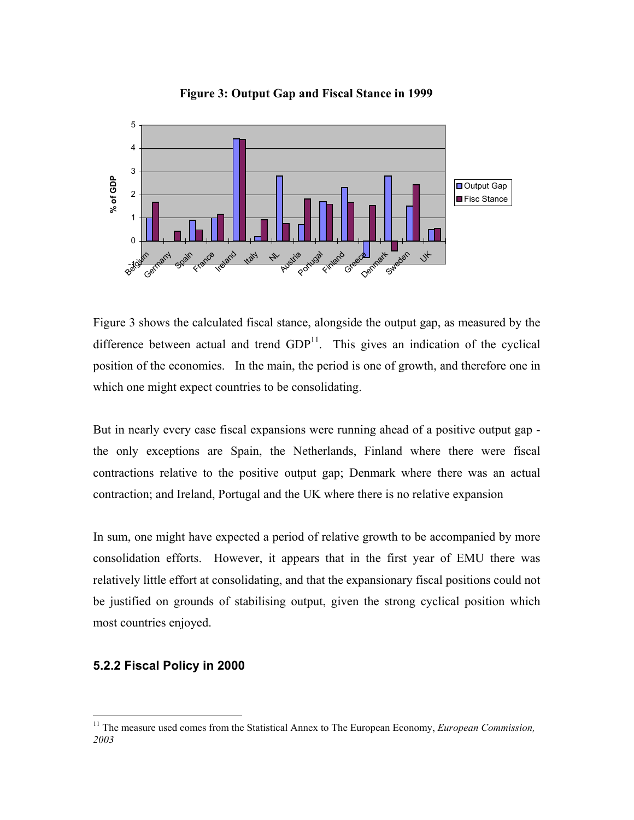

**Figure 3: Output Gap and Fiscal Stance in 1999**

Figure 3 shows the calculated fiscal stance, alongside the output gap, as measured by the difference between actual and trend  $GDP<sup>11</sup>$ . This gives an indication of the cyclical position of the economies. In the main, the period is one of growth, and therefore one in which one might expect countries to be consolidating.

But in nearly every case fiscal expansions were running ahead of a positive output gap the only exceptions are Spain, the Netherlands, Finland where there were fiscal contractions relative to the positive output gap; Denmark where there was an actual contraction; and Ireland, Portugal and the UK where there is no relative expansion

In sum, one might have expected a period of relative growth to be accompanied by more consolidation efforts. However, it appears that in the first year of EMU there was relatively little effort at consolidating, and that the expansionary fiscal positions could not be justified on grounds of stabilising output, given the strong cyclical position which most countries enjoyed.

#### **5.2.2 Fiscal Policy in 2000**

<span id="page-33-0"></span><sup>&</sup>lt;sup>11</sup> The measure used comes from the Statistical Annex to The European Economy, *European Commission*, *2003*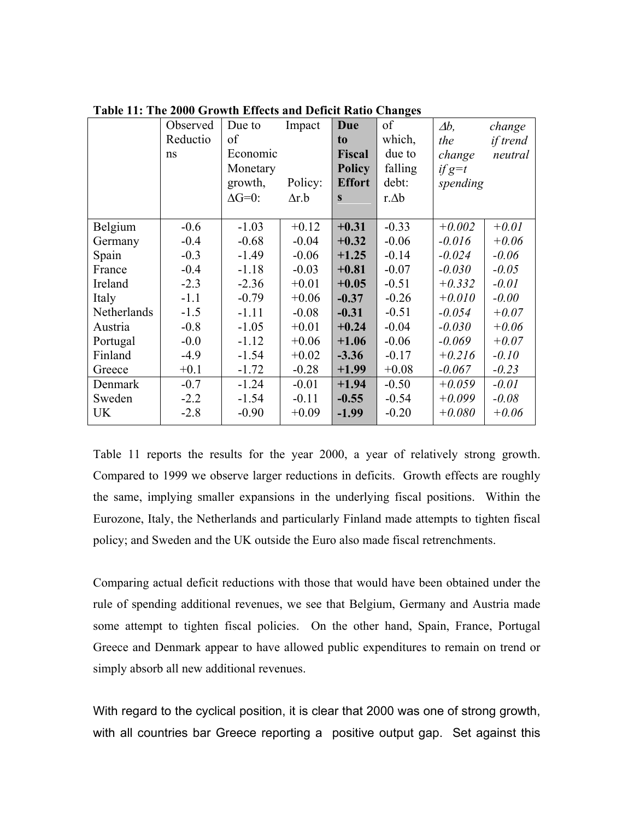|             | Observed | Due to         | Impact       | Due            | of           | $\varDelta b$ , | change   |
|-------------|----------|----------------|--------------|----------------|--------------|-----------------|----------|
|             | Reductio | of             |              | t <sub>0</sub> | which,       | the             | if trend |
|             | ns       | Economic       |              | <b>Fiscal</b>  | due to       | change          | neutral  |
|             |          | Monetary       |              | <b>Policy</b>  | falling      | $if g=t$        |          |
|             |          | growth,        | Policy:      | <b>Effort</b>  | debt:        | spending        |          |
|             |          | $\Delta G=0$ : | $\Delta r.b$ | S              | $r \Delta b$ |                 |          |
|             |          |                |              |                |              |                 |          |
| Belgium     | $-0.6$   | $-1.03$        | $+0.12$      | $+0.31$        | $-0.33$      | $+0.002$        | $+0.01$  |
| Germany     | $-0.4$   | $-0.68$        | $-0.04$      | $+0.32$        | $-0.06$      | $-0.016$        | $+0.06$  |
| Spain       | $-0.3$   | $-1.49$        | $-0.06$      | $+1.25$        | $-0.14$      | $-0.024$        | $-0.06$  |
| France      | $-0.4$   | $-1.18$        | $-0.03$      | $+0.81$        | $-0.07$      | $-0.030$        | $-0.05$  |
| Ireland     | $-2.3$   | $-2.36$        | $+0.01$      | $+0.05$        | $-0.51$      | $+0.332$        | $-0.01$  |
| Italy       | $-1.1$   | $-0.79$        | $+0.06$      | $-0.37$        | $-0.26$      | $+0.010$        | $-0.00$  |
| Netherlands | $-1.5$   | $-1.11$        | $-0.08$      | $-0.31$        | $-0.51$      | $-0.054$        | $+0.07$  |
| Austria     | $-0.8$   | $-1.05$        | $+0.01$      | $+0.24$        | $-0.04$      | $-0.030$        | $+0.06$  |
| Portugal    | $-0.0$   | $-1.12$        | $+0.06$      | $+1.06$        | $-0.06$      | $-0.069$        | $+0.07$  |
| Finland     | $-4.9$   | $-1.54$        | $+0.02$      | $-3.36$        | $-0.17$      | $+0.216$        | $-0.10$  |
| Greece      | $+0.1$   | $-1.72$        | $-0.28$      | $+1.99$        | $+0.08$      | $-0.067$        | $-0.23$  |
| Denmark     | $-0.7$   | $-1.24$        | $-0.01$      | $+1.94$        | $-0.50$      | $+0.059$        | $-0.01$  |
| Sweden      | $-2.2$   | $-1.54$        | $-0.11$      | $-0.55$        | $-0.54$      | $+0.099$        | $-0.08$  |
| <b>UK</b>   | $-2.8$   | $-0.90$        | $+0.09$      | $-1.99$        | $-0.20$      | $+0.080$        | $+0.06$  |

**Table 11: The 2000 Growth Effects and Deficit Ratio Changes** 

Table 11 reports the results for the year 2000, a year of relatively strong growth. Compared to 1999 we observe larger reductions in deficits. Growth effects are roughly the same, implying smaller expansions in the underlying fiscal positions. Within the Eurozone, Italy, the Netherlands and particularly Finland made attempts to tighten fiscal policy; and Sweden and the UK outside the Euro also made fiscal retrenchments.

Comparing actual deficit reductions with those that would have been obtained under the rule of spending additional revenues, we see that Belgium, Germany and Austria made some attempt to tighten fiscal policies. On the other hand, Spain, France, Portugal Greece and Denmark appear to have allowed public expenditures to remain on trend or simply absorb all new additional revenues.

With regard to the cyclical position, it is clear that 2000 was one of strong growth, with all countries bar Greece reporting a positive output gap. Set against this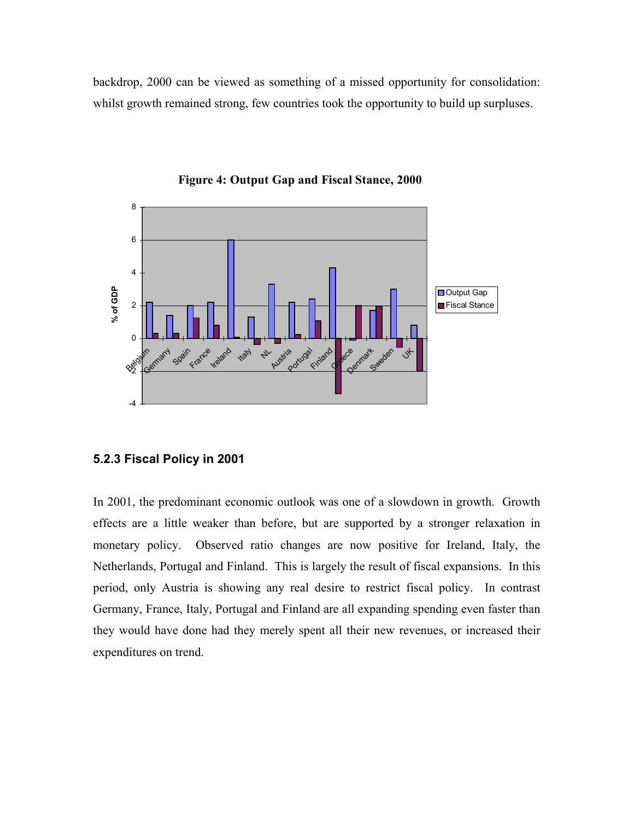backdrop, 2000 can be viewed as something of a missed opportunity for consolidation: whilst growth remained strong, few countries took the opportunity to build up surpluses.



**Figure 4: Output Gap and Fiscal Stance, 2000**

#### **5.2.3 Fiscal Policy in 2001**

In 2001, the predominant economic outlook was one of a slowdown in growth. Growth effects are a little weaker than before, but are supported by a stronger relaxation in monetary policy. Observed ratio changes are now positive for Ireland, Italy, the Netherlands, Portugal and Finland. This is largely the result of fiscal expansions. In this period, only Austria is showing any real desire to restrict fiscal policy. In contrast Germany, France, Italy, Portugal and Finland are all expanding spending even faster than they would have done had they merely spent all their new revenues, or increased their expenditures on trend.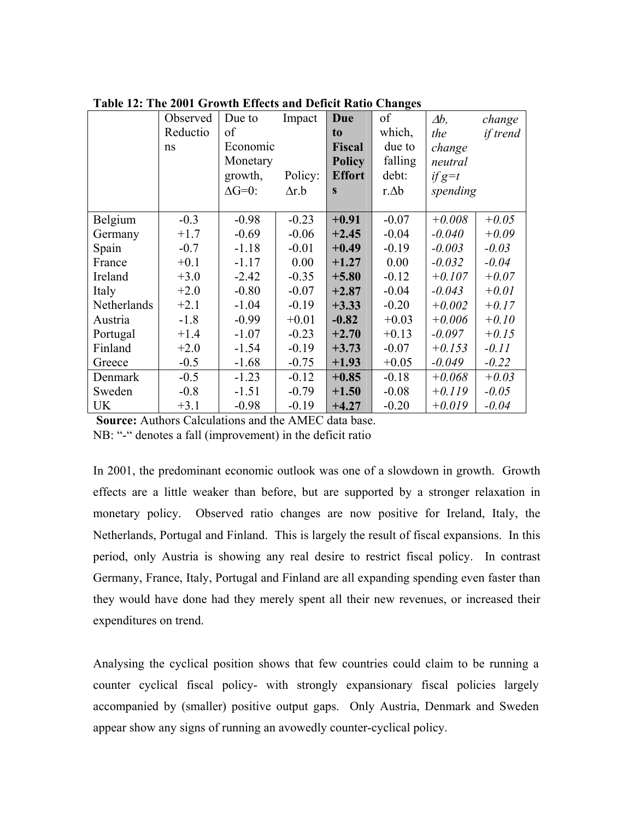| Table 12. The 2001 Growth Effects and Defielt Katio Changes |          |                |              |               | of           |                 |          |
|-------------------------------------------------------------|----------|----------------|--------------|---------------|--------------|-----------------|----------|
|                                                             | Observed | Due to         | Impact       | Due           |              | $\varDelta b$ , | change   |
|                                                             | Reductio | of             |              | to            | which,       | the             | if trend |
|                                                             | ns       | Economic       |              | <b>Fiscal</b> | due to       | change          |          |
|                                                             |          | Monetary       |              | <b>Policy</b> | falling      | neutral         |          |
|                                                             |          | growth,        | Policy:      | <b>Effort</b> | debt:        | if $g=t$        |          |
|                                                             |          | $\Delta G=0$ : | $\Delta r.b$ | $\mathbf{s}$  | $r \Delta b$ | spending        |          |
|                                                             |          |                |              |               |              |                 |          |
| Belgium                                                     | $-0.3$   | $-0.98$        | $-0.23$      | $+0.91$       | $-0.07$      | $+0.008$        | $+0.05$  |
| Germany                                                     | $+1.7$   | $-0.69$        | $-0.06$      | $+2.45$       | $-0.04$      | $-0.040$        | $+0.09$  |
| Spain                                                       | $-0.7$   | $-1.18$        | $-0.01$      | $+0.49$       | $-0.19$      | $-0.003$        | $-0.03$  |
| France                                                      | $+0.1$   | $-1.17$        | 0.00         | $+1.27$       | 0.00         | $-0.032$        | $-0.04$  |
| Ireland                                                     | $+3.0$   | $-2.42$        | $-0.35$      | $+5.80$       | $-0.12$      | $+0.107$        | $+0.07$  |
| Italy                                                       | $+2.0$   | $-0.80$        | $-0.07$      | $+2.87$       | $-0.04$      | $-0.043$        | $+0.01$  |
| Netherlands                                                 | $+2.1$   | $-1.04$        | $-0.19$      | $+3.33$       | $-0.20$      | $+0.002$        | $+0.17$  |
| Austria                                                     | $-1.8$   | $-0.99$        | $+0.01$      | $-0.82$       | $+0.03$      | $+0.006$        | $+0.10$  |
| Portugal                                                    | $+1.4$   | $-1.07$        | $-0.23$      | $+2.70$       | $+0.13$      | $-0.097$        | $+0.15$  |
| Finland                                                     | $+2.0$   | $-1.54$        | $-0.19$      | $+3.73$       | $-0.07$      | $+0.153$        | $-0.11$  |
| Greece                                                      | $-0.5$   | $-1.68$        | $-0.75$      | $+1.93$       | $+0.05$      | $-0.049$        | $-0.22$  |
| Denmark                                                     | $-0.5$   | $-1.23$        | $-0.12$      | $+0.85$       | $-0.18$      | $+0.068$        | $+0.03$  |
| Sweden                                                      | $-0.8$   | $-1.51$        | $-0.79$      | $+1.50$       | $-0.08$      | $+0.119$        | $-0.05$  |
| <b>UK</b>                                                   | $+3.1$   | $-0.98$        | $-0.19$      | $+4.27$       | $-0.20$      | $+0.019$        | $-0.04$  |

**Table 12: The 2001 Growth Effects and Deficit Ratio Changes** 

**Source:** Authors Calculations and the AMEC data base. NB: "-" denotes a fall (improvement) in the deficit ratio

In 2001, the predominant economic outlook was one of a slowdown in growth. Growth effects are a little weaker than before, but are supported by a stronger relaxation in monetary policy. Observed ratio changes are now positive for Ireland, Italy, the Netherlands, Portugal and Finland. This is largely the result of fiscal expansions. In this period, only Austria is showing any real desire to restrict fiscal policy. In contrast Germany, France, Italy, Portugal and Finland are all expanding spending even faster than they would have done had they merely spent all their new revenues, or increased their expenditures on trend.

Analysing the cyclical position shows that few countries could claim to be running a counter cyclical fiscal policy- with strongly expansionary fiscal policies largely accompanied by (smaller) positive output gaps. Only Austria, Denmark and Sweden appear show any signs of running an avowedly counter-cyclical policy.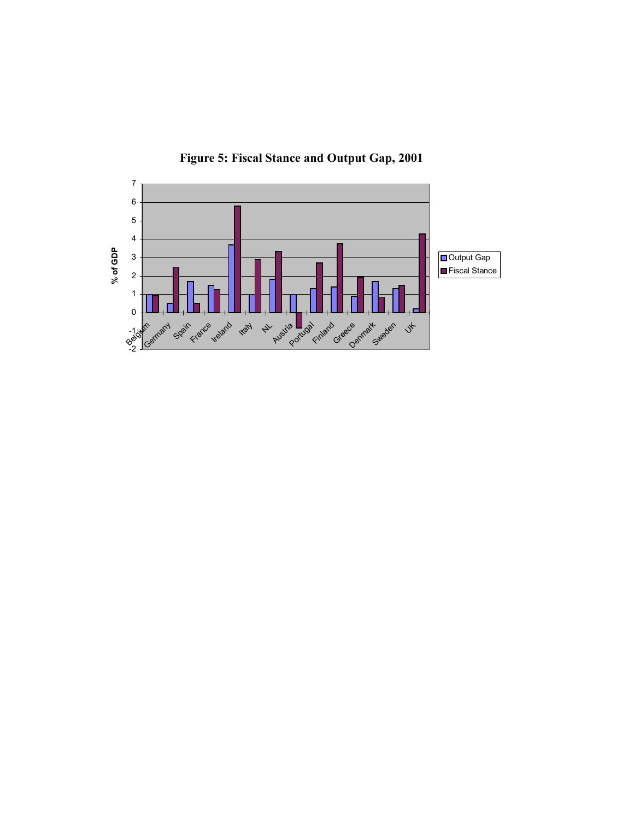

**Figure 5: Fiscal Stance and Output Gap, 2001**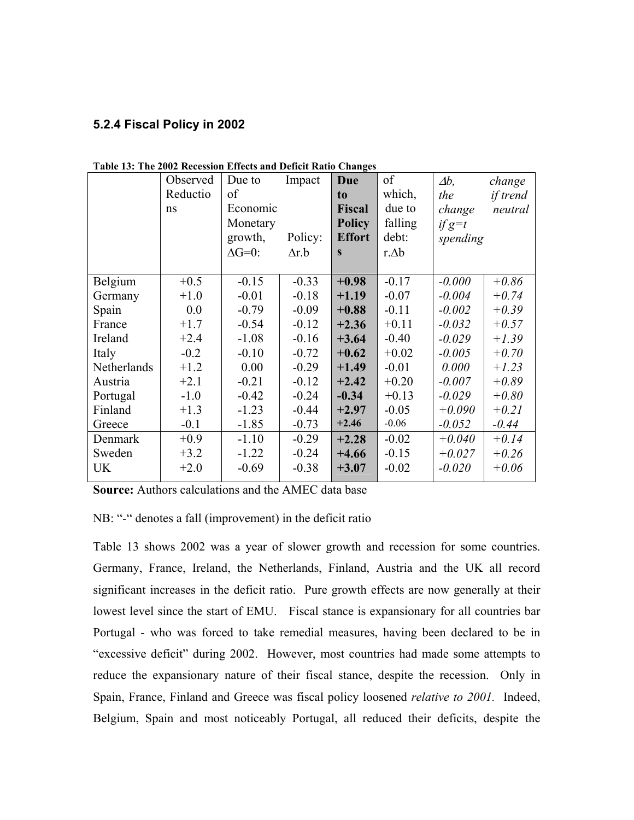### **5.2.4 Fiscal Policy in 2002**

|             | Observed | Due to         | Impact       | Due           | of           | $\varDelta b$ , | change   |
|-------------|----------|----------------|--------------|---------------|--------------|-----------------|----------|
|             | Reductio | of             |              | to            | which,       | the             | if trend |
|             | ns       | Economic       |              | <b>Fiscal</b> | due to       | change          | neutral  |
|             |          | Monetary       |              | <b>Policy</b> | falling      | $if g=t$        |          |
|             |          | growth,        | Policy:      | <b>Effort</b> | debt:        | spending        |          |
|             |          | $\Delta G=0$ : | $\Delta r.b$ | S             | $r \Delta b$ |                 |          |
|             |          |                |              |               |              |                 |          |
| Belgium     | $+0.5$   | $-0.15$        | $-0.33$      | $+0.98$       | $-0.17$      | $-0.000$        | $+0.86$  |
| Germany     | $+1.0$   | $-0.01$        | $-0.18$      | $+1.19$       | $-0.07$      | $-0.004$        | $+0.74$  |
| Spain       | 0.0      | $-0.79$        | $-0.09$      | $+0.88$       | $-0.11$      | $-0.002$        | $+0.39$  |
| France      | $+1.7$   | $-0.54$        | $-0.12$      | $+2.36$       | $+0.11$      | $-0.032$        | $+0.57$  |
| Ireland     | $+2.4$   | $-1.08$        | $-0.16$      | $+3.64$       | $-0.40$      | $-0.029$        | $+1.39$  |
| Italy       | $-0.2$   | $-0.10$        | $-0.72$      | $+0.62$       | $+0.02$      | $-0.005$        | $+0.70$  |
| Netherlands | $+1.2$   | 0.00           | $-0.29$      | $+1.49$       | $-0.01$      | 0.000           | $+1.23$  |
| Austria     | $+2.1$   | $-0.21$        | $-0.12$      | $+2.42$       | $+0.20$      | $-0.007$        | $+0.89$  |
| Portugal    | $-1.0$   | $-0.42$        | $-0.24$      | $-0.34$       | $+0.13$      | $-0.029$        | $+0.80$  |
| Finland     | $+1.3$   | $-1.23$        | $-0.44$      | $+2.97$       | $-0.05$      | $+0.090$        | $+0.21$  |
| Greece      | $-0.1$   | $-1.85$        | $-0.73$      | $+2.46$       | $-0.06$      | $-0.052$        | $-0.44$  |
| Denmark     | $+0.9$   | $-1.10$        | $-0.29$      | $+2.28$       | $-0.02$      | $+0.040$        | $+0.14$  |
| Sweden      | $+3.2$   | $-1.22$        | $-0.24$      | $+4.66$       | $-0.15$      | $+0.027$        | $+0.26$  |
| <b>UK</b>   | $+2.0$   | $-0.69$        | $-0.38$      | $+3.07$       | $-0.02$      | $-0.020$        | $+0.06$  |
|             |          |                |              |               |              |                 |          |

**Table 13: The 2002 Recession Effects and Deficit Ratio Changes** 

**Source:** Authors calculations and the AMEC data base

NB: "-" denotes a fall (improvement) in the deficit ratio

Table 13 shows 2002 was a year of slower growth and recession for some countries. Germany, France, Ireland, the Netherlands, Finland, Austria and the UK all record significant increases in the deficit ratio. Pure growth effects are now generally at their lowest level since the start of EMU. Fiscal stance is expansionary for all countries bar Portugal - who was forced to take remedial measures, having been declared to be in "excessive deficit" during 2002. However, most countries had made some attempts to reduce the expansionary nature of their fiscal stance, despite the recession. Only in Spain, France, Finland and Greece was fiscal policy loosened *relative to 2001.* Indeed, Belgium, Spain and most noticeably Portugal, all reduced their deficits, despite the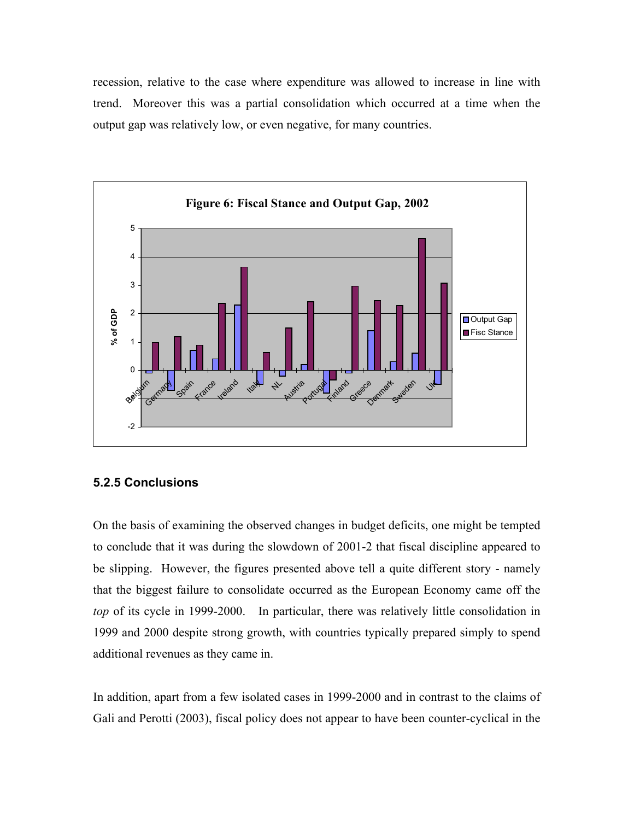recession, relative to the case where expenditure was allowed to increase in line with trend. Moreover this was a partial consolidation which occurred at a time when the output gap was relatively low, or even negative, for many countries.



#### **5.2.5 Conclusions**

On the basis of examining the observed changes in budget deficits, one might be tempted to conclude that it was during the slowdown of 2001-2 that fiscal discipline appeared to be slipping. However, the figures presented above tell a quite different story - namely that the biggest failure to consolidate occurred as the European Economy came off the *top* of its cycle in 1999-2000. In particular, there was relatively little consolidation in 1999 and 2000 despite strong growth, with countries typically prepared simply to spend additional revenues as they came in.

In addition, apart from a few isolated cases in 1999-2000 and in contrast to the claims of Gali and Perotti (2003), fiscal policy does not appear to have been counter-cyclical in the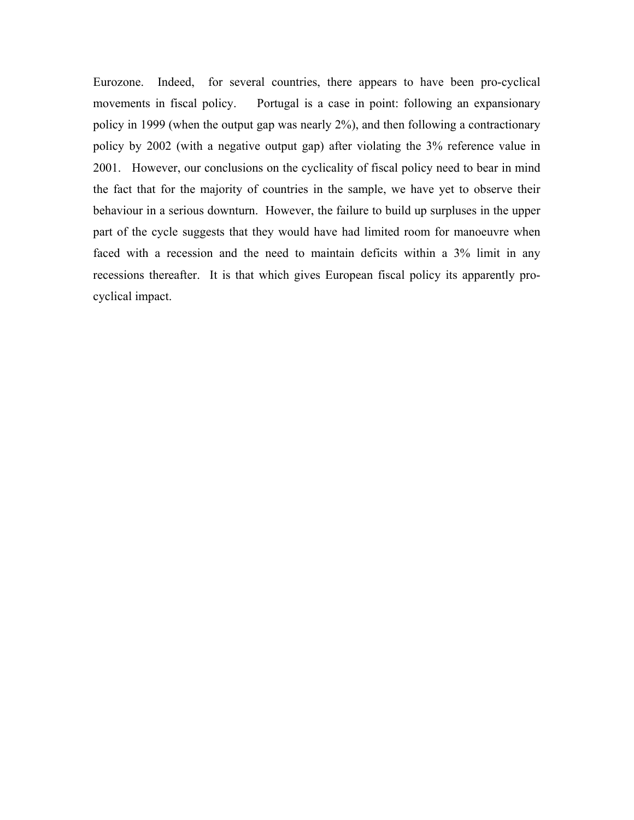Eurozone. Indeed, for several countries, there appears to have been pro-cyclical movements in fiscal policy. Portugal is a case in point: following an expansionary policy in 1999 (when the output gap was nearly 2%), and then following a contractionary policy by 2002 (with a negative output gap) after violating the 3% reference value in 2001. However, our conclusions on the cyclicality of fiscal policy need to bear in mind the fact that for the majority of countries in the sample, we have yet to observe their behaviour in a serious downturn. However, the failure to build up surpluses in the upper part of the cycle suggests that they would have had limited room for manoeuvre when faced with a recession and the need to maintain deficits within a 3% limit in any recessions thereafter. It is that which gives European fiscal policy its apparently procyclical impact.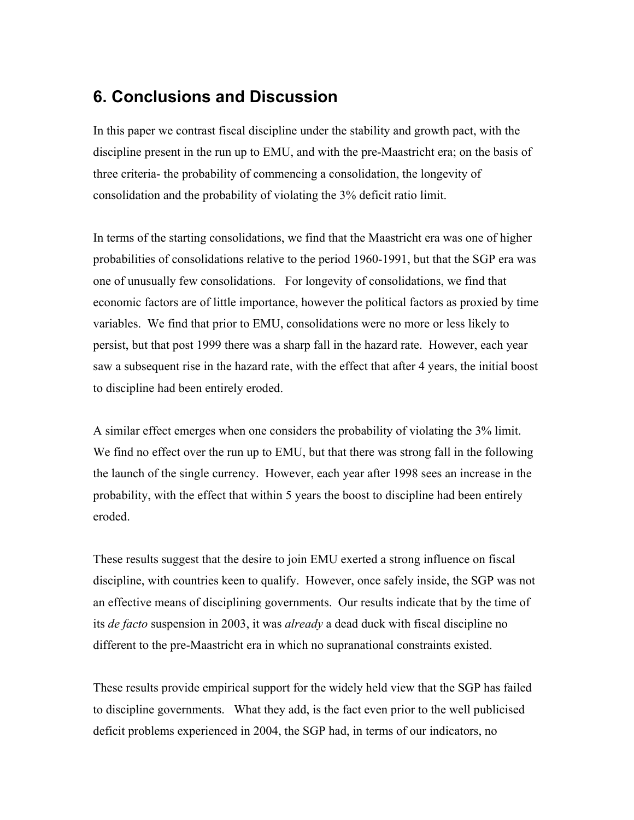## **6. Conclusions and Discussion**

In this paper we contrast fiscal discipline under the stability and growth pact, with the discipline present in the run up to EMU, and with the pre-Maastricht era; on the basis of three criteria- the probability of commencing a consolidation, the longevity of consolidation and the probability of violating the 3% deficit ratio limit.

In terms of the starting consolidations, we find that the Maastricht era was one of higher probabilities of consolidations relative to the period 1960-1991, but that the SGP era was one of unusually few consolidations. For longevity of consolidations, we find that economic factors are of little importance, however the political factors as proxied by time variables. We find that prior to EMU, consolidations were no more or less likely to persist, but that post 1999 there was a sharp fall in the hazard rate. However, each year saw a subsequent rise in the hazard rate, with the effect that after 4 years, the initial boost to discipline had been entirely eroded.

A similar effect emerges when one considers the probability of violating the 3% limit. We find no effect over the run up to EMU, but that there was strong fall in the following the launch of the single currency. However, each year after 1998 sees an increase in the probability, with the effect that within 5 years the boost to discipline had been entirely eroded.

These results suggest that the desire to join EMU exerted a strong influence on fiscal discipline, with countries keen to qualify. However, once safely inside, the SGP was not an effective means of disciplining governments. Our results indicate that by the time of its *de facto* suspension in 2003, it was *already* a dead duck with fiscal discipline no different to the pre-Maastricht era in which no supranational constraints existed.

These results provide empirical support for the widely held view that the SGP has failed to discipline governments. What they add, is the fact even prior to the well publicised deficit problems experienced in 2004, the SGP had, in terms of our indicators, no